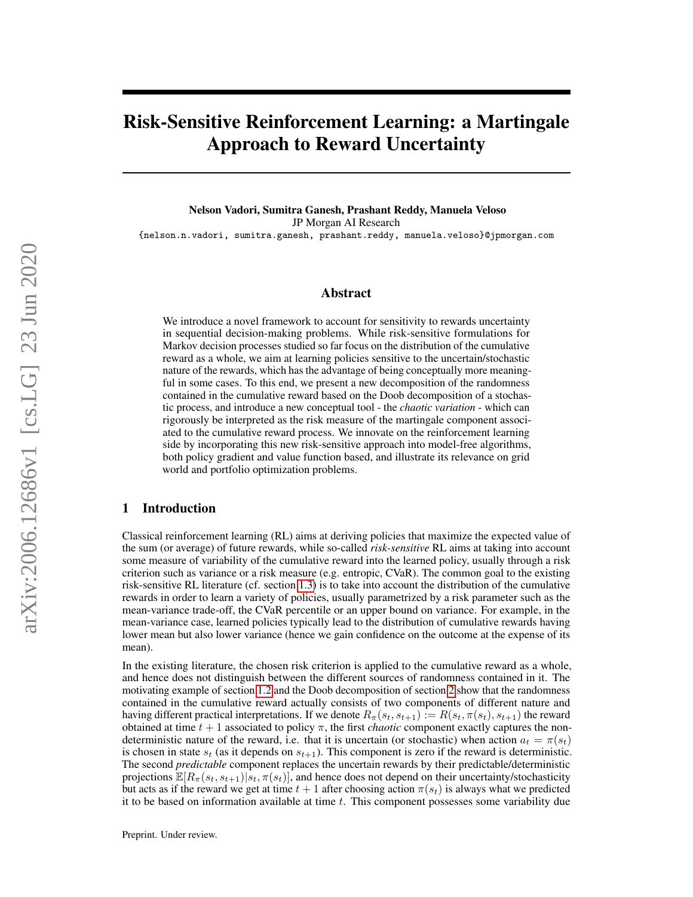# Risk-Sensitive Reinforcement Learning: a Martingale Approach to Reward Uncertainty

Nelson Vadori, Sumitra Ganesh, Prashant Reddy, Manuela Veloso JP Morgan AI Research {nelson.n.vadori, sumitra.ganesh, prashant.reddy, manuela.veloso}@jpmorgan.com

### Abstract

We introduce a novel framework to account for sensitivity to rewards uncertainty in sequential decision-making problems. While risk-sensitive formulations for Markov decision processes studied so far focus on the distribution of the cumulative reward as a whole, we aim at learning policies sensitive to the uncertain/stochastic nature of the rewards, which has the advantage of being conceptually more meaningful in some cases. To this end, we present a new decomposition of the randomness contained in the cumulative reward based on the Doob decomposition of a stochastic process, and introduce a new conceptual tool - the *chaotic variation* - which can rigorously be interpreted as the risk measure of the martingale component associated to the cumulative reward process. We innovate on the reinforcement learning side by incorporating this new risk-sensitive approach into model-free algorithms, both policy gradient and value function based, and illustrate its relevance on grid world and portfolio optimization problems.

# <span id="page-0-0"></span>1 Introduction

Classical reinforcement learning (RL) aims at deriving policies that maximize the expected value of the sum (or average) of future rewards, while so-called *risk-sensitive* RL aims at taking into account some measure of variability of the cumulative reward into the learned policy, usually through a risk criterion such as variance or a risk measure (e.g. entropic, CVaR). The common goal to the existing risk-sensitive RL literature (cf. section [1.3\)](#page-3-0) is to take into account the distribution of the cumulative rewards in order to learn a variety of policies, usually parametrized by a risk parameter such as the mean-variance trade-off, the CVaR percentile or an upper bound on variance. For example, in the mean-variance case, learned policies typically lead to the distribution of cumulative rewards having lower mean but also lower variance (hence we gain confidence on the outcome at the expense of its mean).

In the existing literature, the chosen risk criterion is applied to the cumulative reward as a whole, and hence does not distinguish between the different sources of randomness contained in it. The motivating example of section [1.2](#page-2-0) and the Doob decomposition of section [2](#page-3-1) show that the randomness contained in the cumulative reward actually consists of two components of different nature and having different practical interpretations. If we denote  $R_{\pi}(s_t, s_{t+1}) := R(s_t, \pi(s_t), s_{t+1})$  the reward obtained at time  $t + 1$  associated to policy  $\pi$ , the first *chaotic* component exactly captures the nondeterministic nature of the reward, i.e. that it is uncertain (or stochastic) when action  $a_t = \pi(s_t)$ is chosen in state  $s_t$  (as it depends on  $s_{t+1}$ ). This component is zero if the reward is deterministic. The second *predictable* component replaces the uncertain rewards by their predictable/deterministic projections  $\mathbb{E}[R_{\pi}(s_t, s_{t+1})|s_t, \pi(s_t)]$ , and hence does not depend on their uncertainty/stochasticity but acts as if the reward we get at time  $t + 1$  after choosing action  $\pi(s_t)$  is always what we predicted it to be based on information available at time  $t$ . This component possesses some variability due

Preprint. Under review.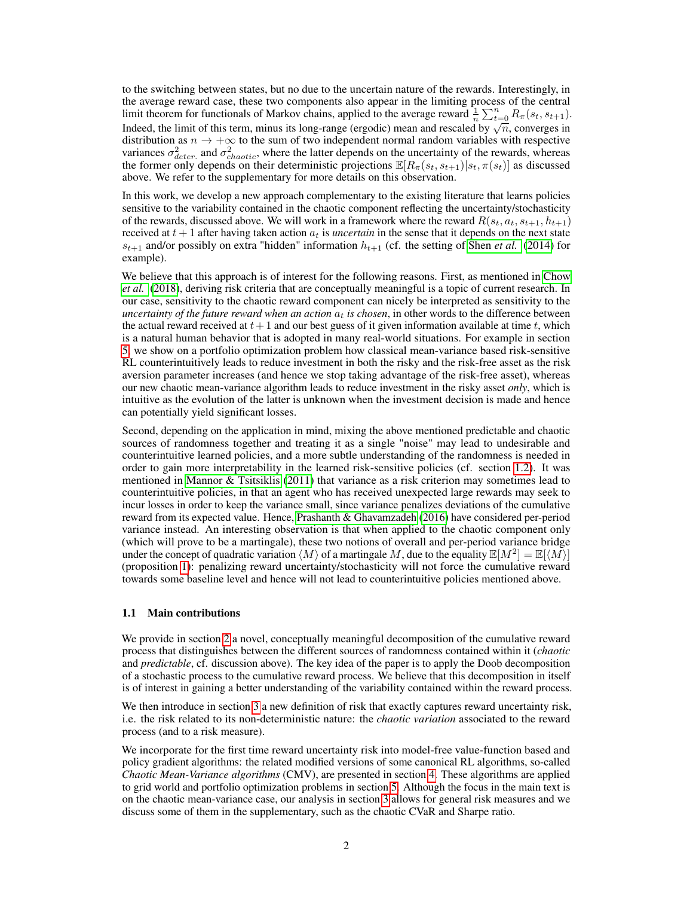to the switching between states, but no due to the uncertain nature of the rewards. Interestingly, in the average reward case, these two components also appear in the limiting process of the central limit theorem for functionals of Markov chains, applied to the average reward  $\frac{1}{n} \sum_{t=0}^{n} R_{\pi}(s_t, s_{t+1})$ . Indeed, the limit of this term, minus its long-range (ergodic) mean and rescaled by  $\sqrt{n}$ , converges in Indeed, the limit of this term, minus its long-range (ergodic) mean and rescaled by  $\sqrt{n}$ , converges in distribution as  $n \to +\infty$  to the sum of two independent normal random variables with respective variances  $\sigma_{deter.}^2$  and  $\sigma_{chaotic}^2$ , where the latter depends on the uncertainty of the rewards, whereas the former only depends on their deterministic projections  $\mathbb{E}[R_{\pi}(s_t, s_{t+1})|s_t, \pi(s_t)]$  as discussed above. We refer to the supplementary for more details on this observation.

In this work, we develop a new approach complementary to the existing literature that learns policies sensitive to the variability contained in the chaotic component reflecting the uncertainty/stochasticity of the rewards, discussed above. We will work in a framework where the reward  $R(s_t, a_t, s_{t+1}, h_{t+1})$ received at  $t + 1$  after having taken action  $a_t$  is *uncertain* in the sense that it depends on the next state  $s_{t+1}$  and/or possibly on extra "hidden" information  $h_{t+1}$  (cf. the setting of [Shen](#page-11-0) *et al.* [\(2014\)](#page-11-0) for example).

We believe that this approach is of interest for the following reasons. First, as mentioned in [Chow](#page-11-1) *[et al.](#page-11-1)* [\(2018\)](#page-11-1), deriving risk criteria that are conceptually meaningful is a topic of current research. In our case, sensitivity to the chaotic reward component can nicely be interpreted as sensitivity to the *uncertainty of the future reward when an action*  $a_t$  *is chosen*, in other words to the difference between the actual reward received at  $t+1$  and our best guess of it given information available at time t, which is a natural human behavior that is adopted in many real-world situations. For example in section [5,](#page-8-0) we show on a portfolio optimization problem how classical mean-variance based risk-sensitive RL counterintuitively leads to reduce investment in both the risky and the risk-free asset as the risk aversion parameter increases (and hence we stop taking advantage of the risk-free asset), whereas our new chaotic mean-variance algorithm leads to reduce investment in the risky asset *only*, which is intuitive as the evolution of the latter is unknown when the investment decision is made and hence can potentially yield significant losses.

Second, depending on the application in mind, mixing the above mentioned predictable and chaotic sources of randomness together and treating it as a single "noise" may lead to undesirable and counterintuitive learned policies, and a more subtle understanding of the randomness is needed in order to gain more interpretability in the learned risk-sensitive policies (cf. section [1.2\)](#page-2-0). It was mentioned in [Mannor & Tsitsiklis](#page-11-2) [\(2011\)](#page-11-2) that variance as a risk criterion may sometimes lead to counterintuitive policies, in that an agent who has received unexpected large rewards may seek to incur losses in order to keep the variance small, since variance penalizes deviations of the cumulative reward from its expected value. Hence, [Prashanth & Ghavamzadeh](#page-11-3) [\(2016\)](#page-11-3) have considered per-period variance instead. An interesting observation is that when applied to the chaotic component only (which will prove to be a martingale), these two notions of overall and per-period variance bridge under the concept of quadratic variation  $\langle M \rangle$  of a martingale M, due to the equality  $\mathbb{E}[M^2] = \mathbb{E}[\langle M \rangle]$ (proposition [1\)](#page-5-0): penalizing reward uncertainty/stochasticity will not force the cumulative reward towards some baseline level and hence will not lead to counterintuitive policies mentioned above.

#### 1.1 Main contributions

We provide in section [2](#page-3-1) a novel, conceptually meaningful decomposition of the cumulative reward process that distinguishes between the different sources of randomness contained within it (*chaotic* and *predictable*, cf. discussion above). The key idea of the paper is to apply the Doob decomposition of a stochastic process to the cumulative reward process. We believe that this decomposition in itself is of interest in gaining a better understanding of the variability contained within the reward process.

We then introduce in section [3](#page-4-0) a new definition of risk that exactly captures reward uncertainty risk, i.e. the risk related to its non-deterministic nature: the *chaotic variation* associated to the reward process (and to a risk measure).

We incorporate for the first time reward uncertainty risk into model-free value-function based and policy gradient algorithms: the related modified versions of some canonical RL algorithms, so-called *Chaotic Mean-Variance algorithms* (CMV), are presented in section [4.](#page-5-1) These algorithms are applied to grid world and portfolio optimization problems in section [5.](#page-8-0) Although the focus in the main text is on the chaotic mean-variance case, our analysis in section [3](#page-4-0) allows for general risk measures and we discuss some of them in the supplementary, such as the chaotic CVaR and Sharpe ratio.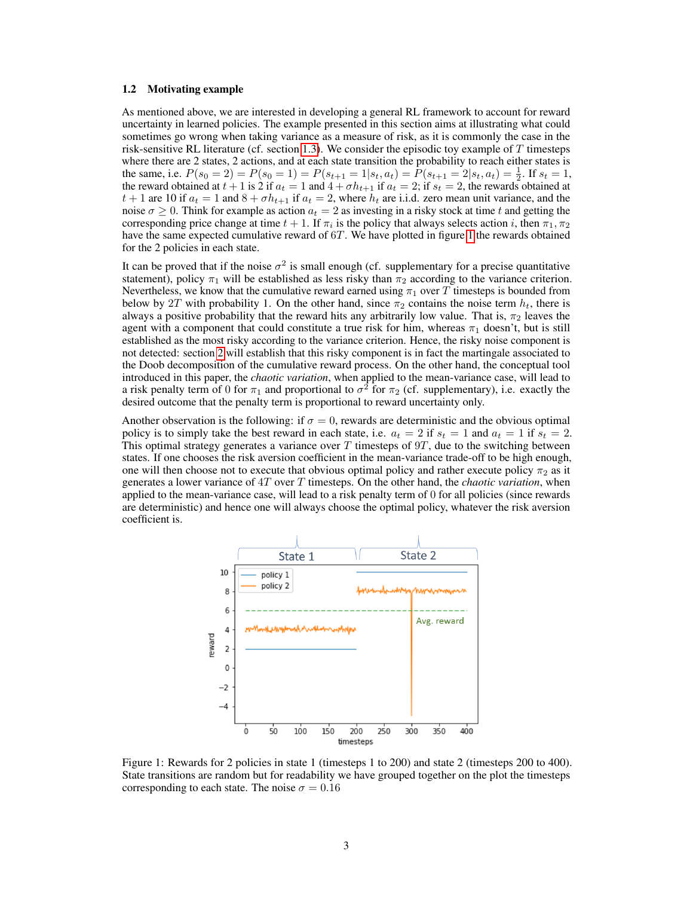#### <span id="page-2-0"></span>1.2 Motivating example

As mentioned above, we are interested in developing a general RL framework to account for reward uncertainty in learned policies. The example presented in this section aims at illustrating what could sometimes go wrong when taking variance as a measure of risk, as it is commonly the case in the risk-sensitive RL literature (cf. section [1.3\)](#page-3-0). We consider the episodic toy example of  $T$  timesteps where there are 2 states, 2 actions, and at each state transition the probability to reach either states is the same, i.e.  $P(s_0 = 2) = P(s_0 = 1) = P(s_{t+1} = 1|s_t, a_t) = P(s_{t+1} = 2|s_t, a_t) = \frac{1}{2}$ . If  $s_t = 1$ , the reward obtained at  $t + 1$  is 2 if  $a_t = 1$  and  $4 + \sigma h_{t+1}$  if  $a_t = 2$ ; if  $s_t = 2$ , the rewards obtained at  $t + 1$  are 10 if  $a_t = 1$  and  $8 + \sigma h_{t+1}$  if  $a_t = 2$ , where  $h_t$  are i.i.d. zero mean unit variance, and the noise  $\sigma \geq 0$ . Think for example as action  $a_t = 2$  as investing in a risky stock at time t and getting the corresponding price change at time  $t + 1$ . If  $\pi_i$  is the policy that always selects action i, then  $\pi_1, \pi_2$ have the same expected cumulative reward of 6T. We have plotted in figure [1](#page-2-1) the rewards obtained for the 2 policies in each state.

It can be proved that if the noise  $\sigma^2$  is small enough (cf. supplementary for a precise quantitative statement), policy  $\pi_1$  will be established as less risky than  $\pi_2$  according to the variance criterion. Nevertheless, we know that the cumulative reward earned using  $\pi_1$  over T timesteps is bounded from below by 2T with probability 1. On the other hand, since  $\pi_2$  contains the noise term  $h_t$ , there is always a positive probability that the reward hits any arbitrarily low value. That is,  $\pi_2$  leaves the agent with a component that could constitute a true risk for him, whereas  $\pi_1$  doesn't, but is still established as the most risky according to the variance criterion. Hence, the risky noise component is not detected: section [2](#page-3-1) will establish that this risky component is in fact the martingale associated to the Doob decomposition of the cumulative reward process. On the other hand, the conceptual tool introduced in this paper, the *chaotic variation*, when applied to the mean-variance case, will lead to a risk penalty term of 0 for  $\pi_1$  and proportional to  $\sigma^2$  for  $\pi_2$  (cf. supplementary), i.e. exactly the desired outcome that the penalty term is proportional to reward uncertainty only.

Another observation is the following: if  $\sigma = 0$ , rewards are deterministic and the obvious optimal policy is to simply take the best reward in each state, i.e.  $a_t = 2$  if  $s_t = 1$  and  $a_t = 1$  if  $s_t = 2$ . This optimal strategy generates a variance over  $T$  timesteps of  $9T$ , due to the switching between states. If one chooses the risk aversion coefficient in the mean-variance trade-off to be high enough, one will then choose not to execute that obvious optimal policy and rather execute policy  $\pi_2$  as it generates a lower variance of 4T over T timesteps. On the other hand, the *chaotic variation*, when applied to the mean-variance case, will lead to a risk penalty term of 0 for all policies (since rewards are deterministic) and hence one will always choose the optimal policy, whatever the risk aversion coefficient is.



<span id="page-2-1"></span>Figure 1: Rewards for 2 policies in state 1 (timesteps 1 to 200) and state 2 (timesteps 200 to 400). State transitions are random but for readability we have grouped together on the plot the timesteps corresponding to each state. The noise  $\sigma = 0.16$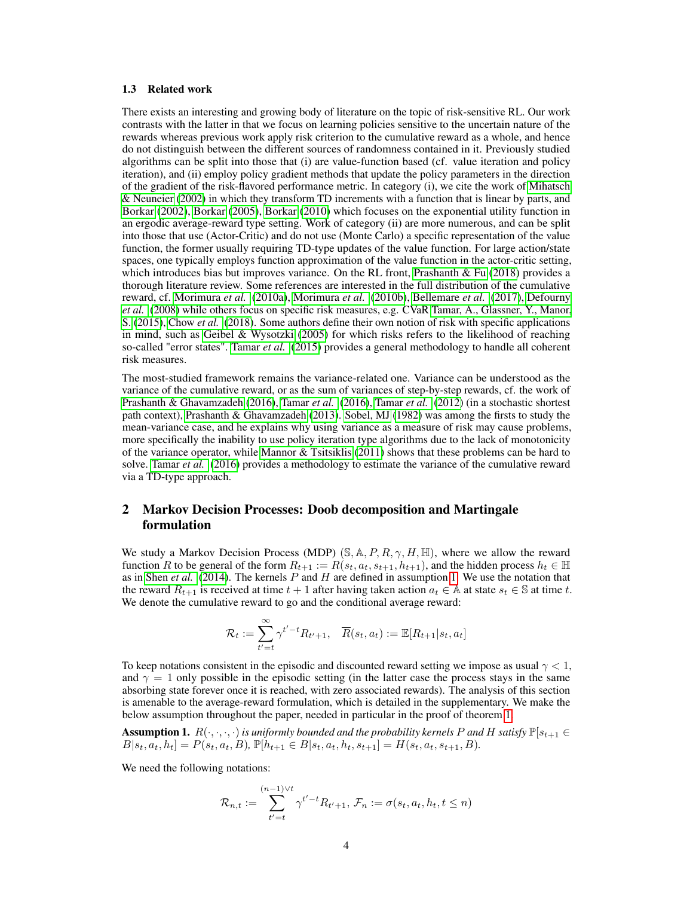#### <span id="page-3-0"></span>1.3 Related work

There exists an interesting and growing body of literature on the topic of risk-sensitive RL. Our work contrasts with the latter in that we focus on learning policies sensitive to the uncertain nature of the rewards whereas previous work apply risk criterion to the cumulative reward as a whole, and hence do not distinguish between the different sources of randomness contained in it. Previously studied algorithms can be split into those that (i) are value-function based (cf. value iteration and policy iteration), and (ii) employ policy gradient methods that update the policy parameters in the direction of the gradient of the risk-flavored performance metric. In category (i), we cite the work of [Mihatsch](#page-11-4) [& Neuneier](#page-11-4) [\(2002\)](#page-11-4) in which they transform TD increments with a function that is linear by parts, and [Borkar](#page-11-5) [\(2002\)](#page-11-5), [Borkar](#page-11-6) [\(2005\)](#page-11-6), [Borkar](#page-11-7) [\(2010\)](#page-11-7) which focuses on the exponential utility function in an ergodic average-reward type setting. Work of category (ii) are more numerous, and can be split into those that use (Actor-Critic) and do not use (Monte Carlo) a specific representation of the value function, the former usually requiring TD-type updates of the value function. For large action/state spaces, one typically employs function approximation of the value function in the actor-critic setting, which introduces bias but improves variance. On the RL front, [Prashanth & Fu](#page-11-8) [\(2018\)](#page-11-8) provides a thorough literature review. Some references are interested in the full distribution of the cumulative reward, cf. [Morimura](#page-11-9) *et al.* [\(2010a\)](#page-11-9), [Morimura](#page-11-10) *et al.* [\(2010b\)](#page-11-10), [Bellemare](#page-11-11) *et al.* [\(2017\)](#page-11-11), [Defourny](#page-11-12) *[et al.](#page-11-12)* [\(2008\)](#page-11-12) while others focus on specific risk measures, e.g. CVaR [Tamar, A., Glassner, Y., Manor,](#page-12-0) [S.](#page-12-0) [\(2015\)](#page-12-0), [Chow](#page-11-1) *et al.* [\(2018\)](#page-11-1). Some authors define their own notion of risk with specific applications in mind, such as [Geibel & Wysotzki](#page-11-13) [\(2005\)](#page-11-13) for which risks refers to the likelihood of reaching so-called "error states". [Tamar](#page-12-1) *et al.* [\(2015\)](#page-12-1) provides a general methodology to handle all coherent risk measures.

The most-studied framework remains the variance-related one. Variance can be understood as the variance of the cumulative reward, or as the sum of variances of step-by-step rewards, cf. the work of [Prashanth & Ghavamzadeh](#page-11-3) [\(2016\)](#page-11-3), [Tamar](#page-12-2) *et al.* [\(2016\)](#page-12-2), [Tamar](#page-12-3) *et al.* [\(2012\)](#page-12-3) (in a stochastic shortest path context), [Prashanth & Ghavamzadeh](#page-11-14) [\(2013\)](#page-11-14). [Sobel, MJ](#page-11-15) [\(1982\)](#page-11-15) was among the firsts to study the mean-variance case, and he explains why using variance as a measure of risk may cause problems, more specifically the inability to use policy iteration type algorithms due to the lack of monotonicity of the variance operator, while Mannor  $&$  Tsitsiklis [\(2011\)](#page-11-2) shows that these problems can be hard to solve. [Tamar](#page-12-2) *et al.* [\(2016\)](#page-12-2) provides a methodology to estimate the variance of the cumulative reward via a TD-type approach.

# <span id="page-3-1"></span>2 Markov Decision Processes: Doob decomposition and Martingale formulation

We study a Markov Decision Process (MDP) (S, A, P, R,  $\gamma$ , H, H), where we allow the reward function R to be general of the form  $R_{t+1} := R(s_t, a_t, s_{t+1}, h_{t+1})$ , and the hidden process  $h_t \in \mathbb{H}$ as in [Shen](#page-11-0) *et al.* [\(2014\)](#page-11-0). The kernels P and H are defined in assumption [1.](#page-3-2) We use the notation that the reward  $R_{t+1}$  is received at time  $t + 1$  after having taken action  $a_t \in \mathbb{A}$  at state  $s_t \in \mathbb{S}$  at time t. We denote the cumulative reward to go and the conditional average reward:

$$
\mathcal{R}_t := \sum_{t'=t}^{\infty} \gamma^{t'-t} R_{t'+1}, \quad \overline{R}(s_t, a_t) := \mathbb{E}[R_{t+1}|s_t, a_t]
$$

To keep notations consistent in the episodic and discounted reward setting we impose as usual  $\gamma$  < 1, and  $\gamma = 1$  only possible in the episodic setting (in the latter case the process stays in the same absorbing state forever once it is reached, with zero associated rewards). The analysis of this section is amenable to the average-reward formulation, which is detailed in the supplementary. We make the below assumption throughout the paper, needed in particular in the proof of theorem [1.](#page-4-1)

<span id="page-3-2"></span>**Assumption 1.**  $R(\cdot, \cdot, \cdot, \cdot)$  *is uniformly bounded and the probability kernels* P *and* H *satisfy*  $\mathbb{P}[s_{t+1} \in$  $B[s_t, a_t, h_t] = P(s_t, a_t, B)$ ,  $\mathbb{P}[h_{t+1} \in B|s_t, a_t, h_t, s_{t+1}] = H(s_t, a_t, s_{t+1}, B)$ .

We need the following notations:

$$
\mathcal{R}_{n,t} := \sum_{t'=t}^{(n-1)\vee t} \gamma^{t'-t} R_{t'+1}, \, \mathcal{F}_n := \sigma(s_t, a_t, h_t, t \le n)
$$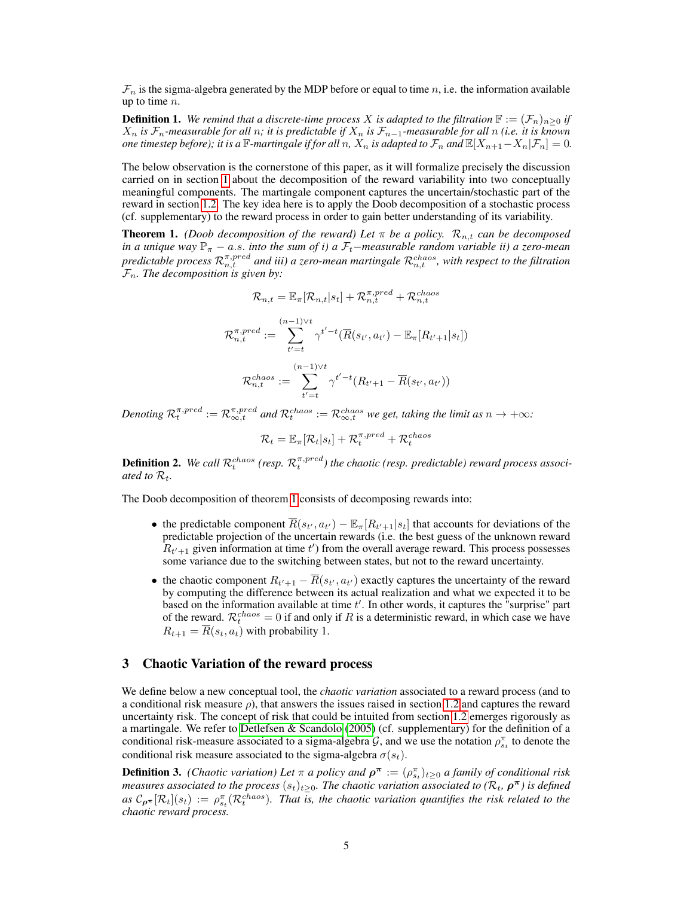$\mathcal{F}_n$  is the sigma-algebra generated by the MDP before or equal to time n, i.e. the information available up to time  $n$ .

**Definition 1.** We remind that a discrete-time process X is adapted to the filtration  $\mathbb{F} := (\mathcal{F}_n)_{n>0}$  if X<sup>n</sup> *is* Fn*-measurable for all* n*; it is predictable if* X<sup>n</sup> *is* Fn−1*-measurable for all* n *(i.e. it is known one timestep before); it is a*  $\mathbb{F}$ *-martingale if for all* n,  $X_n$  *is adapted to*  $\mathcal{F}_n$  *and*  $\mathbb{E}[X_{n+1}-X_n|\mathcal{F}_n]=0$ .

The below observation is the cornerstone of this paper, as it will formalize precisely the discussion carried on in section [1](#page-0-0) about the decomposition of the reward variability into two conceptually meaningful components. The martingale component captures the uncertain/stochastic part of the reward in section [1.2.](#page-2-0) The key idea here is to apply the Doob decomposition of a stochastic process (cf. supplementary) to the reward process in order to gain better understanding of its variability.

<span id="page-4-1"></span>**Theorem 1.** *(Doob decomposition of the reward) Let*  $\pi$  *be a policy.*  $\mathcal{R}_{n,t}$  *can be decomposed in a unique way*  $\mathbb{P}_\pi$  − a.s. *into the sum of i) a*  $\mathcal{F}_t$ —measurable random variable ii) a zero-mean predictable process  $\mathcal{R}_{n,t}^{\pi, pred}$  and iii) a zero-mean martingale  $\mathcal{R}_{n,t}^{chaos}$ , with respect to the filtration  $\mathcal{F}_n$ *. The decomposition is given by:* 

$$
\mathcal{R}_{n,t} = \mathbb{E}_{\pi}[\mathcal{R}_{n,t}|s_t] + \mathcal{R}_{n,t}^{\pi, pred} + \mathcal{R}_{n,t}^{chaos}
$$

$$
\mathcal{R}_{n,t}^{\pi, pred} := \sum_{t'=t}^{(n-1)\vee t} \gamma^{t'-t} (\overline{R}(s_{t'}, a_{t'}) - \mathbb{E}_{\pi}[R_{t'+1}|s_t])
$$

$$
\mathcal{R}_{n,t}^{chaos} := \sum_{t'=t}^{(n-1)\vee t} \gamma^{t'-t} (R_{t'+1} - \overline{R}(s_{t'}, a_{t'}))
$$

Denoting  $\mathcal{R}_t^{\pi, pred} := \mathcal{R}_{\infty,t}^{\pi, pred}$  and  $\mathcal{R}_t^{chaos} := \mathcal{R}_{\infty,t}^{chaos}$  we get, taking the limit as  $n \to +\infty$ :

$$
\mathcal{R}_t = \mathbb{E}_{\pi}[\mathcal{R}_t | s_t] + \mathcal{R}_t^{\pi, pred} + \mathcal{R}_t^{chaos}
$$

**Definition 2.** We call  $\mathcal{R}_t^{chaos}$  (resp.  $\mathcal{R}_t^{\pi, pred}$ ) the chaotic (resp. predictable) reward process associ*ated to*  $\mathcal{R}_t$ *.* 

The Doob decomposition of theorem [1](#page-4-1) consists of decomposing rewards into:

- the predictable component  $\overline{R}(s_{t'}, a_{t'}) \mathbb{E}_{\pi}[R_{t'+1}|s_t]$  that accounts for deviations of the predictable projection of the uncertain rewards (i.e. the best guess of the unknown reward  $R_{t'+1}$  given information at time  $t'$ ) from the overall average reward. This process possesses some variance due to the switching between states, but not to the reward uncertainty.
- the chaotic component  $R_{t'+1} \overline{R}(s_{t'}, a_{t'})$  exactly captures the uncertainty of the reward by computing the difference between its actual realization and what we expected it to be based on the information available at time  $t'$ . In other words, it captures the "surprise" part of the reward.  $\mathcal{R}_t^{chaos} = 0$  if and only if R is a deterministic reward, in which case we have  $R_{t+1} = \overline{R}(s_t, a_t)$  with probability 1.

### <span id="page-4-0"></span>3 Chaotic Variation of the reward process

We define below a new conceptual tool, the *chaotic variation* associated to a reward process (and to a conditional risk measure  $\rho$ ), that answers the issues raised in section [1.2](#page-2-0) and captures the reward uncertainty risk. The concept of risk that could be intuited from section [1.2](#page-2-0) emerges rigorously as a martingale. We refer to [Detlefsen & Scandolo](#page-11-16) [\(2005\)](#page-11-16) (cf. supplementary) for the definition of a conditional risk-measure associated to a sigma-algebra  $G$ , and we use the notation  $\rho_{s_t}^{\pi}$  to denote the conditional risk measure associated to the sigma-algebra  $\sigma(s_t)$ .

<span id="page-4-2"></span>**Definition 3.** *(Chaotic variation) Let*  $\pi$  *a policy and*  $\rho^{\pi} := (\rho_{s_t}^{\pi})_{t \geq 0}$  *a family of conditional risk measures associated to the process*  $(s_t)_{t\geq 0}$ . The chaotic variation associated to ( $\mathcal{R}_t$ ,  $\rho^\pi$ ) is defined  $as \mathcal{C}_{\rho^{\pi}}[\mathcal{R}_t](s_t) := \rho_{s_t}^{\pi}(\mathcal{R}_t^{chaos})$ . That is, the chaotic variation quantifies the risk related to the *chaotic reward process.*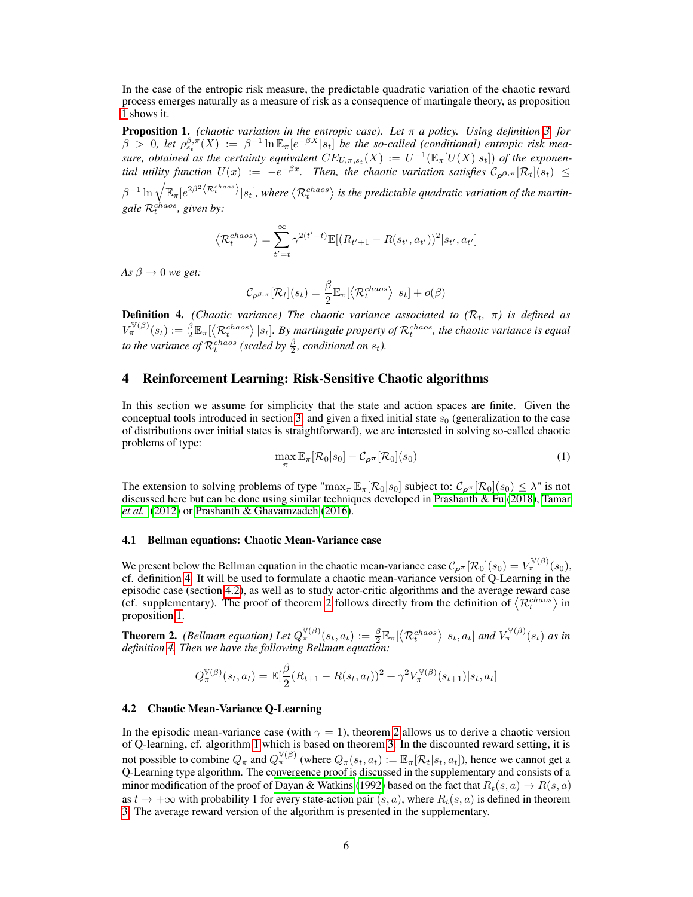In the case of the entropic risk measure, the predictable quadratic variation of the chaotic reward process emerges naturally as a measure of risk as a consequence of martingale theory, as proposition [1](#page-5-0) shows it.

<span id="page-5-0"></span>**Proposition 1.** *(chaotic variation in the entropic case). Let*  $\pi$  *a policy. Using definition* [3,](#page-4-2) for  $\beta > 0$ , let  $\rho_{s_t}^{\beta,\pi}(X) := \beta^{-1} \ln \mathbb{E}_{\pi}[e^{-\beta X} | s_t]$  be the so-called (conditional) entropic risk measure, obtained as the certainty equivalent  $CE_{U,\pi,s_t}(X) := U^{-1}(\mathbb{E}_{\pi}[U(X)|s_t])$  of the exponen*tial utility function*  $U(x) := -e^{-\beta x}$ . Then, the chaotic variation satisfies  $C_{\boldsymbol{\rho}^{\beta,\pi}}[\mathcal{R}_t](s_t) \leq$  $\beta^{-1}\ln\sqrt{\mathbb{E}_{\pi}[e^{2\beta^2\left\langle \mathcal{R}_t^{chaos}\right\rangle}|s_t]}$ , where  $\left\langle \mathcal{R}_t^{chaos}\right\rangle$  is the predictable quadratic variation of the martingale  $\mathcal{R}_t^{chaos}$ , given by:

$$
\langle \mathcal{R}_t^{chaos} \rangle = \sum_{t'=t}^{\infty} \gamma^{2(t'-t)} \mathbb{E}[(R_{t'+1} - \overline{R}(s_{t'}, a_{t'}))^2 | s_{t'}, a_{t'}]
$$

*As*  $\beta \rightarrow 0$  *we get:* 

$$
\mathcal{C}_{\rho^{\beta,\pi}}[\mathcal{R}_t](s_t) = \frac{\beta}{2} \mathbb{E}_{\pi}[\left\langle \mathcal{R}_t^{chaos} \right\rangle | s_t] + o(\beta)
$$

<span id="page-5-2"></span>**Definition 4.** *(Chaotic variance) The chaotic variance associated to*  $(R_t, \pi)$  *is defined as*  $V_{\pi}^{\mathbb{V}(\beta)}(s_t) := \frac{\beta}{2} \mathbb{E}_{\pi}[\langle \mathcal{R}_t^{chaos} \rangle | s_t].$  By martingale property of  $\mathcal{R}_t^{chaos}$ , the chaotic variance is equal *to the variance of*  $\mathcal{R}_t^{chaos}$  (scaled by  $\frac{\beta}{2}$ , conditional on  $s_t$ ).

# <span id="page-5-1"></span>4 Reinforcement Learning: Risk-Sensitive Chaotic algorithms

In this section we assume for simplicity that the state and action spaces are finite. Given the conceptual tools introduced in section [3,](#page-4-0) and given a fixed initial state  $s_0$  (generalization to the case of distributions over initial states is straightforward), we are interested in solving so-called chaotic problems of type:

<span id="page-5-5"></span>
$$
\max_{\pi} \mathbb{E}_{\pi} [\mathcal{R}_0 | s_0] - \mathcal{C}_{\rho^{\pi}} [\mathcal{R}_0](s_0)
$$
\n(1)

The extension to solving problems of type " $\max_{\pi} \mathbb{E}_{\pi}[\mathcal{R}_0|s_0]$  subject to:  $\mathcal{C}_{\rho^{\pi}}[\mathcal{R}_0](s_0) \leq \lambda$ " is not discussed here but can be done using similar techniques developed in [Prashanth & Fu](#page-11-8) [\(2018\)](#page-11-8), [Tamar](#page-12-3) *[et al.](#page-12-3)* [\(2012\)](#page-12-3) or [Prashanth & Ghavamzadeh](#page-11-3) [\(2016\)](#page-11-3).

### 4.1 Bellman equations: Chaotic Mean-Variance case

We present below the Bellman equation in the chaotic mean-variance case  $C_{\rho^{\pi}}[\mathcal{R}_0](s_0) = V_{\pi}^{\mathbb{V}(\beta)}(s_0)$ , cf. definition [4.](#page-5-2) It will be used to formulate a chaotic mean-variance version of Q-Learning in the episodic case (section [4.2\)](#page-5-3), as well as to study actor-critic algorithms and the average reward case (cf. supplementary). The proof of theorem [2](#page-5-4) follows directly from the definition of  $\langle \mathcal{R}_t^{chaos} \rangle$  in proposition [1.](#page-5-0)

<span id="page-5-4"></span>**Theorem 2.** *(Bellman equation) Let*  $Q_{\pi}^{\mathbb{V}(\beta)}(s_t, a_t) := \frac{\beta}{2} \mathbb{E}_{\pi} [\langle \mathcal{R}_t^{chaos} \rangle | s_t, a_t]$  and  $V_{\pi}^{\mathbb{V}(\beta)}(s_t)$  as in *definition [4.](#page-5-2) Then we have the following Bellman equation:*

$$
Q_{\pi}^{\mathbb{V}(\beta)}(s_t, a_t) = \mathbb{E}[\frac{\beta}{2}(R_{t+1} - \overline{R}(s_t, a_t))^2 + \gamma^2 V_{\pi}^{\mathbb{V}(\beta)}(s_{t+1})|s_t, a_t]
$$

#### <span id="page-5-3"></span>4.2 Chaotic Mean-Variance Q-Learning

In the episodic mean-variance case (with  $\gamma = 1$ ), theorem [2](#page-5-4) allows us to derive a chaotic version of Q-learning, cf. algorithm [1](#page-6-0) which is based on theorem [3.](#page-6-1) In the discounted reward setting, it is not possible to combine  $Q_{\pi}$  and  $Q_{\pi}^{\mathbb{V}(\beta)}$  (where  $Q_{\pi}(s_t, a_t) := \mathbb{E}_{\pi}[\mathcal{R}_t|s_t, a_t]$ ), hence we cannot get a Q-Learning type algorithm. The convergence proof is discussed in the supplementary and consists of a minor modification of the proof of [Dayan & Watkins](#page-11-17) [\(1992\)](#page-11-17) based on the fact that  $\overline{R}_t(s, a) \to \overline{R}(s, a)$ as  $t \to +\infty$  with probability 1 for every state-action pair  $(s, a)$ , where  $\overline{R}_t(s, a)$  is defined in theorem [3.](#page-6-1) The average reward version of the algorithm is presented in the supplementary.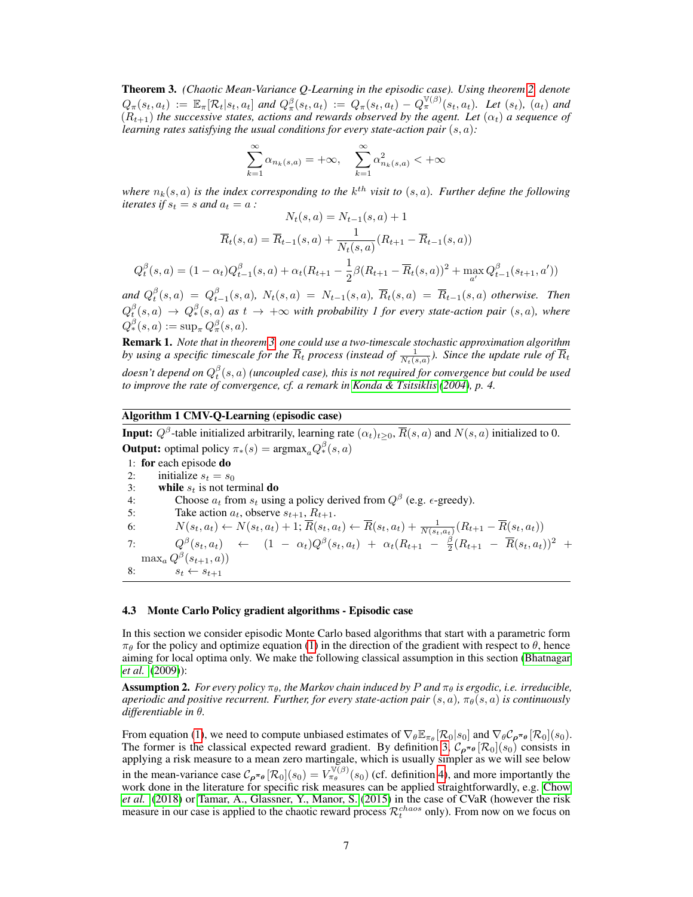<span id="page-6-1"></span>Theorem 3. *(Chaotic Mean-Variance Q-Learning in the episodic case). Using theorem [2,](#page-5-4) denote*  $Q_{\pi}(s_t, a_t) := \mathbb{E}_{\pi}[\mathcal{R}_t | s_t, a_t]$  and  $Q_{\pi}^{\beta}(\overline{s_t}, a_t) := Q_{\pi}(s_t, a_t) - Q_{\pi}^{\mathbb{V}(\beta)}(s_t, a_t)$ . Let  $(s_t)$ ,  $(a_t)$  and  $(R_{t+1})$  *the successive states, actions and rewards observed by the agent. Let*  $(\alpha_t)$  *a sequence of learning rates satisfying the usual conditions for every state-action pair*  $(s, a)$ :

$$
\sum_{k=1}^{\infty} \alpha_{n_k(s,a)} = +\infty, \quad \sum_{k=1}^{\infty} \alpha_{n_k(s,a)}^2 < +\infty
$$

where  $n_k(s, a)$  is the index corresponding to the  $k^{th}$  visit to  $(s, a)$ . Further define the following *iterates if*  $s_t = s$  *and*  $a_t = a$  *:*  $N(a, a) = N(a, a) + 1$ 

$$
N_t(s, a) = N_{t-1}(s, a) + 1
$$
  

$$
\overline{R}_t(s, a) = \overline{R}_{t-1}(s, a) + \frac{1}{N_t(s, a)}(R_{t+1} - \overline{R}_{t-1}(s, a))
$$
  

$$
Q_t^{\beta}(s, a) = (1 - \alpha_t)Q_{t-1}^{\beta}(s, a) + \alpha_t(R_{t+1} - \frac{1}{2}\beta(R_{t+1} - \overline{R}_t(s, a))^2 + \max_{a'} Q_{t-1}^{\beta}(s_{t+1}, a'))
$$

and  $Q_t^{\beta}(s, a) = Q_{t-1}^{\beta}(s, a)$ ,  $N_t(s, a) = N_{t-1}(s, a)$ ,  $\overline{R}_t(s, a) = \overline{R}_{t-1}(s, a)$  otherwise. Then  $Q_t^{\beta}(s,a) \to Q_*^{\beta}(s,a)$  as  $t \to +\infty$  with probability 1 for every state-action pair  $(s,a)$ , where  $Q_*^{\beta}(s, a) := \sup_{\pi} Q_{\pi}^{\beta}(s, a).$ 

<span id="page-6-3"></span>Remark 1. *Note that in theorem [3,](#page-6-1) one could use a two-timescale stochastic approximation algorithm* by using a specific timescale for the  $\overline{R}_t$  process (instead of  $\frac{1}{N_t(s,a)}$ ). Since the update rule of  $\overline{R}_t$ doesn't depend on  $Q_t^\beta(s,a)$  (uncoupled case), this is not required for convergence but could be used *to improve the rate of convergence, cf. a remark in [Konda & Tsitsiklis](#page-11-18) [\(2004\)](#page-11-18), p. 4.*

### Algorithm 1 CMV-Q-Learning (episodic case)

<span id="page-6-0"></span>**Input:**  $Q^{\beta}$ -table initialized arbitrarily, learning rate  $(\alpha_t)_{t\geq0}$ ,  $\overline{R}(s, a)$  and  $N(s, a)$  initialized to 0. **Output:** optimal policy  $\pi_*(s) = \text{argmax}_a Q_*^{\beta}(s, a)$ 

```
1: for each episode do
2: initialize s_t = s_03: while s_t is not terminal do<br>4: Choose a_t from s_t usin
4: Choose a_t from s_t using a policy derived from Q^{\beta} (e.g. \epsilon-greedy).
5: Take action a_t, observe s_{t+1}, R_{t+1}.
6: N(s_t, a_t) \leftarrow N(s_t, a_t) + 1; \overline{R}(s_t, a_t) \leftarrow \overline{R}(s_t, a_t) + \frac{1}{N(s_t, a_t)}(R_{t+1} - \overline{R}(s_t, a_t))7: Q^{\beta}(s_t, a_t) \leftarrow (1 - \alpha_t) Q^{\beta}(s_t, a_t) + \alpha_t (R_{t+1} - \frac{\beta}{2}(R_{t+1} - \overline{R}(s_t, a_t))^2 +\max_a Q^{\beta}(s_{t+1}, a))8: s_t \leftarrow s_{t+1}
```
#### 4.3 Monte Carlo Policy gradient algorithms - Episodic case

In this section we consider episodic Monte Carlo based algorithms that start with a parametric form  $\pi_{\theta}$  for the policy and optimize equation [\(1\)](#page-5-5) in the direction of the gradient with respect to  $\theta$ , hence aiming for local optima only. We make the following classical assumption in this section [\(Bhatnagar](#page-11-19) *[et al.](#page-11-19)* [\(2009\)](#page-11-19)):

<span id="page-6-2"></span>**Assumption 2.** *For every policy*  $\pi_{\theta}$ , the Markov chain induced by P and  $\pi_{\theta}$  is ergodic, i.e. irreducible, *aperiodic and positive recurrent. Further, for every state-action pair*  $(s, a)$ ,  $\pi_{\theta}(s, a)$  *is continuously differentiable in* θ*.*

From equation [\(1\)](#page-5-5), we need to compute unbiased estimates of  $\nabla_{\theta} \mathbb{E}_{\pi_{\theta}}[\mathcal{R}_0|s_0]$  and  $\nabla_{\theta} \mathcal{C}_{\rho^{\pi_{\theta}}}[\mathcal{R}_0](s_0)$ . The former is the classical expected reward gradient. By definition [3,](#page-4-2)  $C_{\rho^{\pi_{\theta}}} [\mathcal{R}_0](s_0)$  consists in applying a risk measure to a mean zero martingale, which is usually simpler as we will see below in the mean-variance case  $C_{\rho^{\pi_{\theta}}}[\mathcal{R}_{0}](s_{0}) = V_{\pi_{\theta}}^{\sqrt{(\beta)}}(s_{0})$  (cf. definition [4\)](#page-5-2), and more importantly the work done in the literature for specific risk measures can be applied straightforwardly, e.g. [Chow](#page-11-1) *[et al.](#page-11-1)* [\(2018\)](#page-11-1) or [Tamar, A., Glassner, Y., Manor, S.](#page-12-0) [\(2015\)](#page-12-0) in the case of CVaR (however the risk measure in our case is applied to the chaotic reward process  $\mathcal{R}_t^{chaos}$  only). From now on we focus on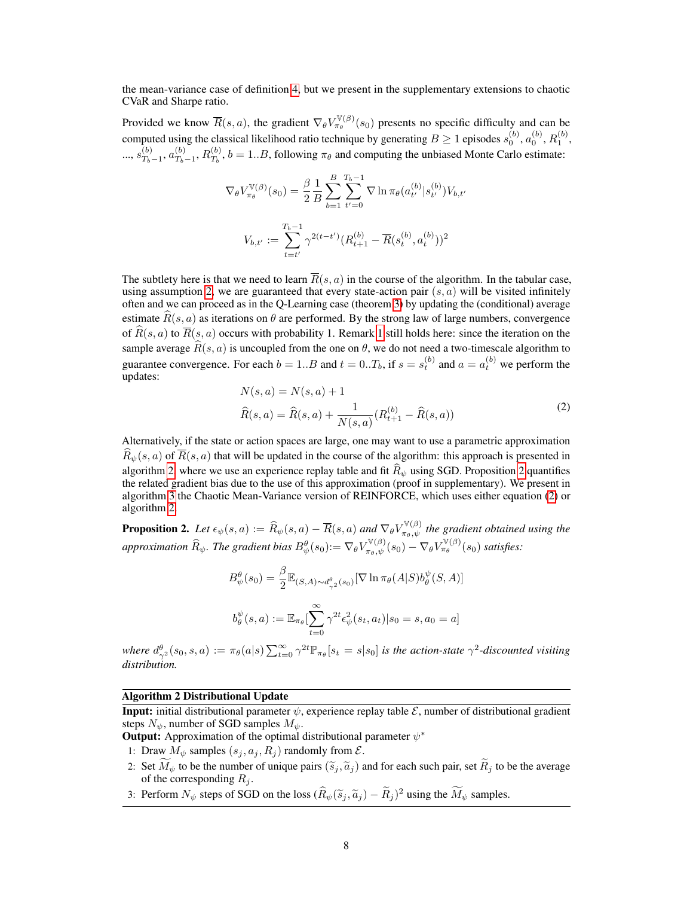the mean-variance case of definition [4,](#page-5-2) but we present in the supplementary extensions to chaotic CVaR and Sharpe ratio.

Provided we know  $\overline{R}(s, a)$ , the gradient  $\nabla_{\theta} V_{\pi_{\theta}}^{\mathbb{V}(\beta)}(s_0)$  presents no specific difficulty and can be computed using the classical likelihood ratio technique by generating  $B \ge 1$  episodes  $s_0^{(b)}$ ,  $a_0^{(b)}$ ,  $R_1^{(b)}$ ,  $..., s_{T_k}^{(b)}$  $\frac{(b)}{T_b-1}, a_{T_b}^{(b)}$  $T_{b-1}^{(b)}, R_{T_b}^{(b)}$  $T_b^{(0)}$ ,  $b = 1..B$ , following  $\pi_\theta$  and computing the unbiased Monte Carlo estimate:

$$
\nabla_{\theta} V_{\pi_{\theta}}^{\mathbb{V}(\beta)}(s_0) = \frac{\beta}{2} \frac{1}{B} \sum_{b=1}^{B} \sum_{t'=0}^{T_b - 1} \nabla \ln \pi_{\theta}(a_{t'}^{(b)} | s_{t'}^{(b)}) V_{b,t'}
$$

$$
V_{b,t'} := \sum_{t=t'}^{T_b - 1} \gamma^{2(t-t')} (R_{t+1}^{(b)} - \overline{R}(s_t^{(b)}, a_t^{(b)}))^2
$$

The subtlety here is that we need to learn  $\overline{R}(s, a)$  in the course of the algorithm. In the tabular case, using assumption [2,](#page-6-2) we are guaranteed that every state-action pair  $(s, a)$  will be visited infinitely often and we can proceed as in the Q-Learning case (theorem [3\)](#page-6-1) by updating the (conditional) average estimate  $\widehat{R}(s, a)$  as iterations on  $\theta$  are performed. By the strong law of large numbers, convergence of  $\widehat{R}(s, a)$  to  $\overline{R}(s, a)$  occurs with probability [1](#page-6-3). Remark 1 still holds here: since the iteration on the sample average  $\widehat{R}(s, a)$  is uncoupled from the one on  $\theta$ , we do not need a two-timescale algorithm to guarantee convergence. For each  $b = 1..B$  and  $t = 0..T_b$ , if  $s = s_t^{(b)}$  and  $a = a_t^{(b)}$  we perform the updates:

<span id="page-7-2"></span>
$$
N(s, a) = N(s, a) + 1
$$
  

$$
\widehat{R}(s, a) = \widehat{R}(s, a) + \frac{1}{N(s, a)} (R_{t+1}^{(b)} - \widehat{R}(s, a))
$$
 (2)

Alternatively, if the state or action spaces are large, one may want to use a parametric approximation  $\hat{R}_{\psi}(s, a)$  of  $\overline{R}(s, a)$  that will be updated in the course of the algorithm: this approach is presented in algorithm [2,](#page-7-0) where we use an experience replay table and fit  $\hat{R}_{\psi}$  using SGD. Proposition [2](#page-7-1) quantifies the related gradient bias due to the use of this approximation (proof in supplementary). We present in algorithm [3](#page-8-1) the Chaotic Mean-Variance version of REINFORCE, which uses either equation [\(2\)](#page-7-2) or algorithm [2.](#page-7-0)

<span id="page-7-1"></span>**Proposition 2.** Let  $\epsilon_{\psi}(s, a) := \widehat{R}_{\psi}(s, a) - \overline{R}(s, a)$  and  $\nabla_{\theta} V_{\pi_{\theta}, \psi}^{\mathbb{V}(\beta)}$  the gradient obtained using the *approximation*  $\widehat{R}_\psi$ . The gradient bias  $B_\psi^\theta(s_0) := \nabla_\theta V_{\pi_\theta, \psi}^{\mathbb{V}(\beta)}(s_0) - \nabla_\theta V_{\pi_\theta}^{\mathbb{V}(\beta)}(s_0)$  satisfies:

$$
B^{\theta}_{\psi}(s_0) = \frac{\beta}{2} \mathbb{E}_{(S,A) \sim d^{\theta}_{\gamma^2}(s_0)} [\nabla \ln \pi_{\theta}(A|S) b^{\psi}_{\theta}(S,A)]
$$
  

$$
b^{\psi}_{\theta}(s,a) := \mathbb{E}_{\pi_{\theta}} \left[ \sum_{t=0}^{\infty} \gamma^{2t} \epsilon_{\psi}^2(s_t, a_t) | s_0 = s, a_0 = a \right]
$$

where  $d_{\gamma^2}^{\theta}(s_0, s, a) := \pi_{\theta}(a|s) \sum_{t=0}^{\infty} \gamma^{2t} \mathbb{P}_{\pi_{\theta}}[s_t = s|s_0]$  *is the action-state*  $\gamma^2$ -discounted visiting *distribution.*

#### Algorithm 2 Distributional Update

<span id="page-7-0"></span>**Input:** initial distributional parameter  $\psi$ , experience replay table  $\mathcal{E}$ , number of distributional gradient steps  $N_{\psi}$ , number of SGD samples  $M_{\psi}$ .

**Output:** Approximation of the optimal distributional parameter  $\psi^*$ 

- 1: Draw  $M_{\psi}$  samples  $(s_j, a_j, R_j)$  randomly from  $\mathcal{E}$ .
- 2: Set  $\widetilde{M}_{\psi}$  to be the number of unique pairs  $(\widetilde{s}_j, \widetilde{a}_j)$  and for each such pair, set  $\widetilde{R}_j$  to be the average of the corresponding  $R_j$ .
- 3: Perform  $N_{\psi}$  steps of SGD on the loss  $(\hat{R}_{\psi}(\tilde{s}_j, \tilde{a}_j) \tilde{R}_j)^2$  using the  $\tilde{M}_{\psi}$  samples.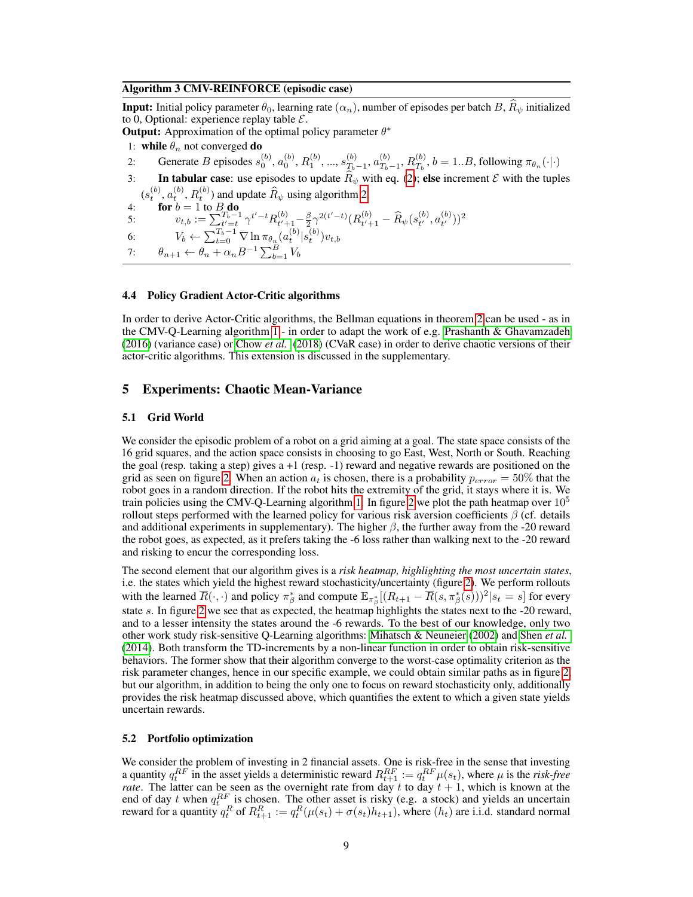#### Algorithm 3 CMV-REINFORCE (episodic case)

<span id="page-8-1"></span>**Input:** Initial policy parameter  $\theta_0$ , learning rate  $(\alpha_n)$ , number of episodes per batch B,  $\widehat{R}_\psi$  initialized to 0, Optional: experience replay table  $\mathcal{E}$ .

**Output:** Approximation of the optimal policy parameter  $\theta^*$ 

- 1: while  $\theta_n$  not converged do
- 2: Generate B episodes  $s_0^{(b)}$ ,  $a_0^{(b)}$ ,  $R_1^{(b)}$ , ...,  $s_{T_b}^{(b)}$  $\frac{(b)}{T_b-1}, a_{T_b}^{(b)}$  $T_{b-1}^{(b)}, R_{T_b}^{(b)}$  $T_b^{(0)}$ ,  $b = 1..B$ , following  $\pi_{\theta_n}(\cdot | \cdot)$
- 3: In tabular case: use episodes to update  $\hat{R}_{\psi}$  with eq. [\(2\)](#page-7-2); else increment  $\mathcal E$  with the tuples  $(s_t^{(b)}, a_t^{(b)}, R_t^{(b)})$  and update  $\widehat{R}_{\psi}$  using algorithm [2.](#page-7-0)<br>4: **for**  $b = 1$  to  $B_n$ **do**
- 

5:  $v_{t,b} := \sum_{t'=t}^{T_b-1} \gamma^{t'-t} R_{t'+t}^{(b)}$  $\frac{1}{t'+1}-\frac{\beta}{2}\gamma^{2(t'-t)}(R^{(b)}_{t'+1})$  $\hat{R}_{t'+1}^{(b)} - \widehat{R}_{\psi}(s_{t'}^{(b)})$  $_{t^{\prime }}^{(b)},a_{t^{\prime }}^{(b)}$  $_{t^{\prime }}^{(b)}) )^{2}$ 

6:  $V_b \leftarrow \sum_{t=0}^{T_b-1} \nabla \ln \pi_{\theta_n}(a_t^{(b)} | s_t^{(b)}) v_{t,b}$ 

```
7: \theta_{n+1} \leftarrow \theta_n + \alpha_n B^{-1} \sum_{b=1}^B V_b
```
# 4.4 Policy Gradient Actor-Critic algorithms

In order to derive Actor-Critic algorithms, the Bellman equations in theorem [2](#page-5-4) can be used - as in the CMV-Q-Learning algorithm [1](#page-6-0) - in order to adapt the work of e.g. [Prashanth & Ghavamzadeh](#page-11-3) [\(2016\)](#page-11-3) (variance case) or [Chow](#page-11-1) *et al.* [\(2018\)](#page-11-1) (CVaR case) in order to derive chaotic versions of their actor-critic algorithms. This extension is discussed in the supplementary.

# <span id="page-8-0"></span>5 Experiments: Chaotic Mean-Variance

### 5.1 Grid World

We consider the episodic problem of a robot on a grid aiming at a goal. The state space consists of the 16 grid squares, and the action space consists in choosing to go East, West, North or South. Reaching the goal (resp. taking a step) gives  $a + 1$  (resp.  $-1$ ) reward and negative rewards are positioned on the grid as seen on figure [2.](#page-9-0) When an action  $a_t$  is chosen, there is a probability  $p_{error} = 50\%$  that the robot goes in a random direction. If the robot hits the extremity of the grid, it stays where it is. We train policies using the CMV-Q-Learning algorithm [1.](#page-6-0) In figure [2](#page-9-0) we plot the path heatmap over  $10<sup>5</sup>$ rollout steps performed with the learned policy for various risk aversion coefficients  $\beta$  (cf. details and additional experiments in supplementary). The higher  $\beta$ , the further away from the -20 reward the robot goes, as expected, as it prefers taking the -6 loss rather than walking next to the -20 reward and risking to encur the corresponding loss.

The second element that our algorithm gives is a *risk heatmap, highlighting the most uncertain states*, i.e. the states which yield the highest reward stochasticity/uncertainty (figure [2\)](#page-9-0). We perform rollouts with the learned  $\overline{R}(\cdot, \cdot)$  and policy  $\pi_{\beta}^{*}$  and compute  $\mathbb{E}_{\pi_{\beta}^{*}}[(R_{t+1} - \overline{R}(s, \pi_{\beta}^{*}(s)))^{2}|s_{t} = s]$  for every state s. In figure [2](#page-9-0) we see that as expected, the heatmap highlights the states next to the -20 reward, and to a lesser intensity the states around the -6 rewards. To the best of our knowledge, only two other work study risk-sensitive Q-Learning algorithms: [Mihatsch & Neuneier](#page-11-4) [\(2002\)](#page-11-4) and [Shen](#page-11-0) *et al.* [\(2014\)](#page-11-0). Both transform the TD-increments by a non-linear function in order to obtain risk-sensitive behaviors. The former show that their algorithm converge to the worst-case optimality criterion as the risk parameter changes, hence in our specific example, we could obtain similar paths as in figure [2,](#page-9-0) but our algorithm, in addition to being the only one to focus on reward stochasticity only, additionally provides the risk heatmap discussed above, which quantifies the extent to which a given state yields uncertain rewards.

#### 5.2 Portfolio optimization

We consider the problem of investing in 2 financial assets. One is risk-free in the sense that investing a quantity  $q_t^{RF}$  in the asset yields a deterministic reward  $R_{t+1}^{RF} := q_t^{RF} \mu(s_t)$ , where  $\mu$  is the *risk-free rate*. The latter can be seen as the overnight rate from day  $t$  to day  $t + 1$ , which is known at the end of day t when  $q_t^{RF}$  is chosen. The other asset is risky (e.g. a stock) and yields an uncertain reward for a quantity  $q_t^R$  of  $R_{t+1}^R := q_t^R(\mu(s_t) + \sigma(s_t)h_{t+1})$ , where  $(h_t)$  are i.i.d. standard normal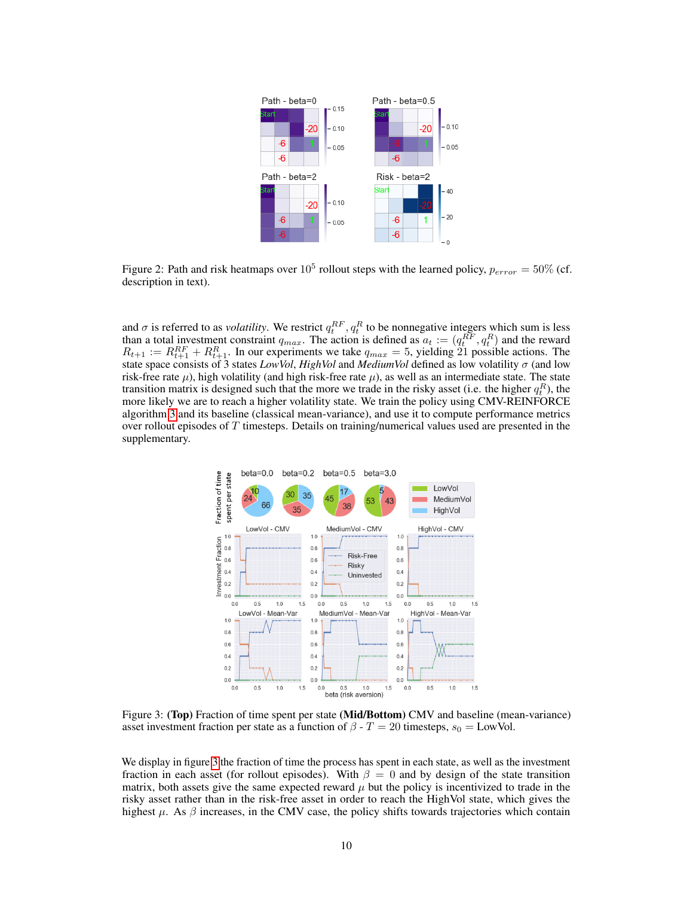

<span id="page-9-0"></span>Figure 2: Path and risk heatmaps over  $10^5$  rollout steps with the learned policy,  $p_{error} = 50\%$  (cf. description in text).

and  $\sigma$  is referred to as *volatility*. We restrict  $q_t^{RF}$ ,  $q_t^R$  to be nonnegative integers which sum is less than a total investment constraint  $q_{max}$ . The action is defined as  $a_t := (q_t^{RF}, q_t^R)$  and the reward  $R_{t+1} := R_{t+1}^{RF} + R_{t+1}^{R}$ . In our experiments we take  $q_{max} = 5$ , yielding 21 possible actions. The state space consists of 3 states *LowVol*, *HighVol* and *MediumVol* defined as low volatility σ (and low risk-free rate  $\mu$ ), high volatility (and high risk-free rate  $\mu$ ), as well as an intermediate state. The state transition matrix is designed such that the more we trade in the risky asset (i.e. the higher  $q_t^R$ ), the more likely we are to reach a higher volatility state. We train the policy using CMV-REINFORCE algorithm [3](#page-8-1) and its baseline (classical mean-variance), and use it to compute performance metrics over rollout episodes of  $T$  timesteps. Details on training/numerical values used are presented in the supplementary.



<span id="page-9-1"></span>Figure 3: (Top) Fraction of time spent per state (Mid/Bottom) CMV and baseline (mean-variance) asset investment fraction per state as a function of  $\beta$  -  $T = 20$  timesteps,  $s_0 =$  LowVol.

We display in figure [3](#page-9-1) the fraction of time the process has spent in each state, as well as the investment fraction in each asset (for rollout episodes). With  $\beta = 0$  and by design of the state transition matrix, both assets give the same expected reward  $\mu$  but the policy is incentivized to trade in the risky asset rather than in the risk-free asset in order to reach the HighVol state, which gives the highest  $\mu$ . As  $\beta$  increases, in the CMV case, the policy shifts towards trajectories which contain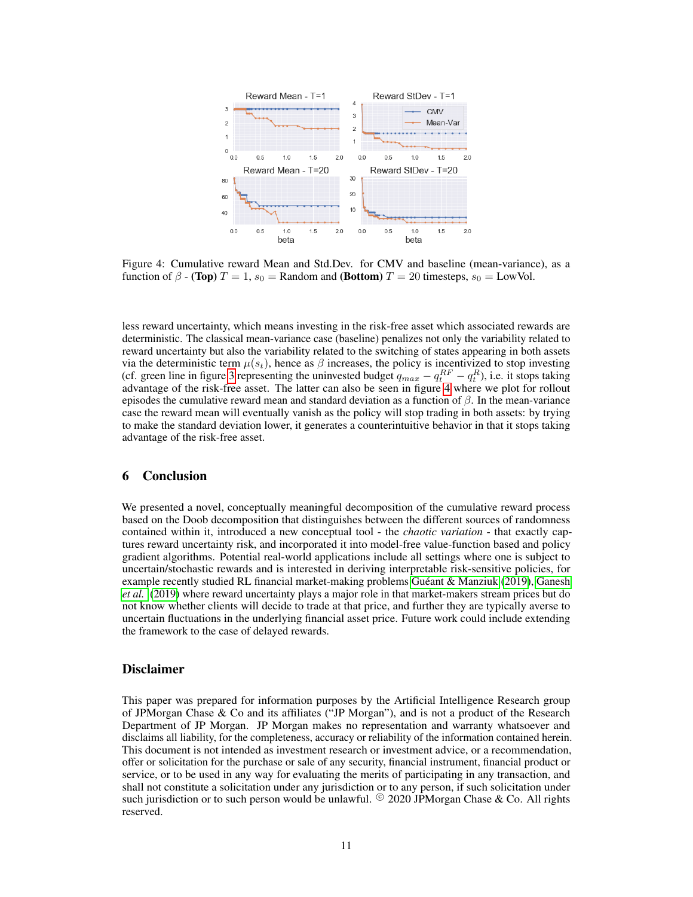

<span id="page-10-0"></span>Figure 4: Cumulative reward Mean and Std.Dev. for CMV and baseline (mean-variance), as a function of  $\beta$  - (Top)  $T = 1$ ,  $s_0 =$  Random and (Bottom)  $T = 20$  timesteps,  $s_0 =$  LowVol.

less reward uncertainty, which means investing in the risk-free asset which associated rewards are deterministic. The classical mean-variance case (baseline) penalizes not only the variability related to reward uncertainty but also the variability related to the switching of states appearing in both assets via the deterministic term  $\mu(s_t)$ , hence as  $\beta$  increases, the policy is incentivized to stop investing (cf. green line in figure [3](#page-9-1) representing the uninvested budget  $q_{max} - q_t^{RF} - q_t^{R}$ ), i.e. it stops taking advantage of the risk-free asset. The latter can also be seen in figure [4](#page-10-0) where we plot for rollout episodes the cumulative reward mean and standard deviation as a function of  $\beta$ . In the mean-variance case the reward mean will eventually vanish as the policy will stop trading in both assets: by trying to make the standard deviation lower, it generates a counterintuitive behavior in that it stops taking advantage of the risk-free asset.

# 6 Conclusion

We presented a novel, conceptually meaningful decomposition of the cumulative reward process based on the Doob decomposition that distinguishes between the different sources of randomness contained within it, introduced a new conceptual tool - the *chaotic variation* - that exactly captures reward uncertainty risk, and incorporated it into model-free value-function based and policy gradient algorithms. Potential real-world applications include all settings where one is subject to uncertain/stochastic rewards and is interested in deriving interpretable risk-sensitive policies, for example recently studied RL financial market-making problems [Guéant & Manziuk](#page-11-20) [\(2019\)](#page-11-20), [Ganesh](#page-11-21) *[et al.](#page-11-21)* [\(2019\)](#page-11-21) where reward uncertainty plays a major role in that market-makers stream prices but do not know whether clients will decide to trade at that price, and further they are typically averse to uncertain fluctuations in the underlying financial asset price. Future work could include extending the framework to the case of delayed rewards.

## Disclaimer

This paper was prepared for information purposes by the Artificial Intelligence Research group of JPMorgan Chase & Co and its affiliates ("JP Morgan"), and is not a product of the Research Department of JP Morgan. JP Morgan makes no representation and warranty whatsoever and disclaims all liability, for the completeness, accuracy or reliability of the information contained herein. This document is not intended as investment research or investment advice, or a recommendation, offer or solicitation for the purchase or sale of any security, financial instrument, financial product or service, or to be used in any way for evaluating the merits of participating in any transaction, and shall not constitute a solicitation under any jurisdiction or to any person, if such solicitation under such jurisdiction or to such person would be unlawful.  $^{\circ}$  2020 JPMorgan Chase & Co. All rights reserved.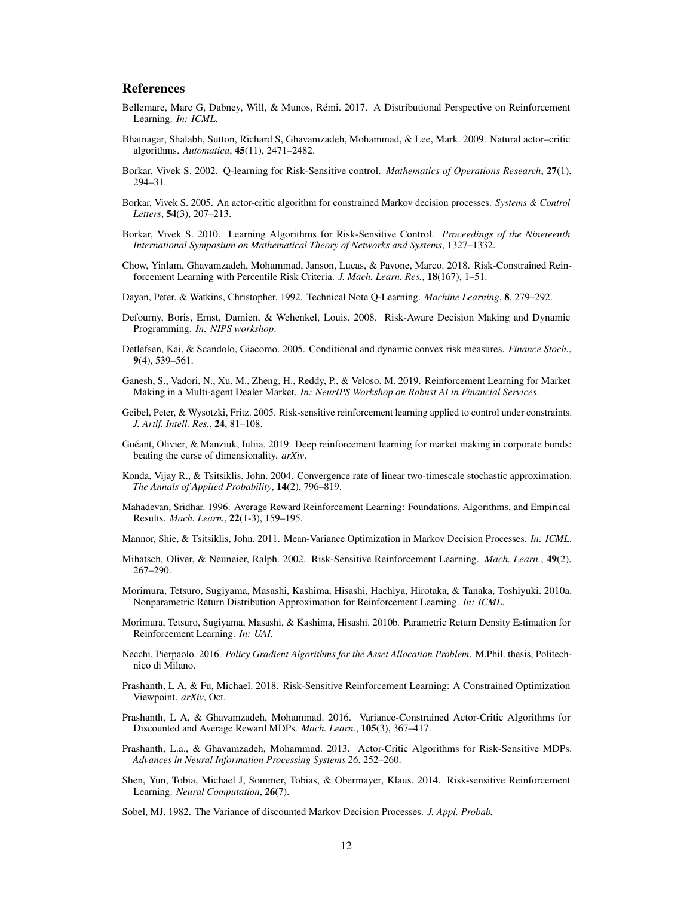# References

- <span id="page-11-11"></span>Bellemare, Marc G, Dabney, Will, & Munos, Rémi. 2017. A Distributional Perspective on Reinforcement Learning. *In: ICML*.
- <span id="page-11-19"></span>Bhatnagar, Shalabh, Sutton, Richard S, Ghavamzadeh, Mohammad, & Lee, Mark. 2009. Natural actor–critic algorithms. *Automatica*, 45(11), 2471–2482.
- <span id="page-11-5"></span>Borkar, Vivek S. 2002. Q-learning for Risk-Sensitive control. *Mathematics of Operations Research*, 27(1), 294–31.
- <span id="page-11-6"></span>Borkar, Vivek S. 2005. An actor-critic algorithm for constrained Markov decision processes. *Systems & Control Letters*, 54(3), 207–213.
- <span id="page-11-7"></span>Borkar, Vivek S. 2010. Learning Algorithms for Risk-Sensitive Control. *Proceedings of the Nineteenth International Symposium on Mathematical Theory of Networks and Systems*, 1327–1332.
- <span id="page-11-1"></span>Chow, Yinlam, Ghavamzadeh, Mohammad, Janson, Lucas, & Pavone, Marco. 2018. Risk-Constrained Reinforcement Learning with Percentile Risk Criteria. *J. Mach. Learn. Res.*, 18(167), 1–51.
- <span id="page-11-17"></span>Dayan, Peter, & Watkins, Christopher. 1992. Technical Note Q-Learning. *Machine Learning*, 8, 279–292.
- <span id="page-11-12"></span>Defourny, Boris, Ernst, Damien, & Wehenkel, Louis. 2008. Risk-Aware Decision Making and Dynamic Programming. *In: NIPS workshop*.
- <span id="page-11-16"></span>Detlefsen, Kai, & Scandolo, Giacomo. 2005. Conditional and dynamic convex risk measures. *Finance Stoch.*, 9(4), 539–561.
- <span id="page-11-21"></span>Ganesh, S., Vadori, N., Xu, M., Zheng, H., Reddy, P., & Veloso, M. 2019. Reinforcement Learning for Market Making in a Multi-agent Dealer Market. *In: NeurIPS Workshop on Robust AI in Financial Services*.
- <span id="page-11-13"></span>Geibel, Peter, & Wysotzki, Fritz. 2005. Risk-sensitive reinforcement learning applied to control under constraints. *J. Artif. Intell. Res.*, 24, 81–108.
- <span id="page-11-20"></span>Guéant, Olivier, & Manziuk, Iuliia. 2019. Deep reinforcement learning for market making in corporate bonds: beating the curse of dimensionality. *arXiv*.
- <span id="page-11-18"></span>Konda, Vijay R., & Tsitsiklis, John. 2004. Convergence rate of linear two-timescale stochastic approximation. *The Annals of Applied Probability*, 14(2), 796–819.
- <span id="page-11-22"></span>Mahadevan, Sridhar. 1996. Average Reward Reinforcement Learning: Foundations, Algorithms, and Empirical Results. *Mach. Learn.*, 22(1-3), 159–195.
- <span id="page-11-2"></span>Mannor, Shie, & Tsitsiklis, John. 2011. Mean-Variance Optimization in Markov Decision Processes. *In: ICML*.
- <span id="page-11-4"></span>Mihatsch, Oliver, & Neuneier, Ralph. 2002. Risk-Sensitive Reinforcement Learning. *Mach. Learn.*, 49(2), 267–290.
- <span id="page-11-9"></span>Morimura, Tetsuro, Sugiyama, Masashi, Kashima, Hisashi, Hachiya, Hirotaka, & Tanaka, Toshiyuki. 2010a. Nonparametric Return Distribution Approximation for Reinforcement Learning. *In: ICML*.
- <span id="page-11-10"></span>Morimura, Tetsuro, Sugiyama, Masashi, & Kashima, Hisashi. 2010b. Parametric Return Density Estimation for Reinforcement Learning. *In: UAI*.
- <span id="page-11-23"></span>Necchi, Pierpaolo. 2016. *Policy Gradient Algorithms for the Asset Allocation Problem*. M.Phil. thesis, Politechnico di Milano.
- <span id="page-11-8"></span>Prashanth, L A, & Fu, Michael. 2018. Risk-Sensitive Reinforcement Learning: A Constrained Optimization Viewpoint. *arXiv*, Oct.
- <span id="page-11-3"></span>Prashanth, L A, & Ghavamzadeh, Mohammad. 2016. Variance-Constrained Actor-Critic Algorithms for Discounted and Average Reward MDPs. *Mach. Learn.*, 105(3), 367–417.
- <span id="page-11-14"></span>Prashanth, L.a., & Ghavamzadeh, Mohammad. 2013. Actor-Critic Algorithms for Risk-Sensitive MDPs. *Advances in Neural Information Processing Systems 26*, 252–260.
- <span id="page-11-0"></span>Shen, Yun, Tobia, Michael J, Sommer, Tobias, & Obermayer, Klaus. 2014. Risk-sensitive Reinforcement Learning. *Neural Computation*, 26(7).
- <span id="page-11-15"></span>Sobel, MJ. 1982. The Variance of discounted Markov Decision Processes. *J. Appl. Probab.*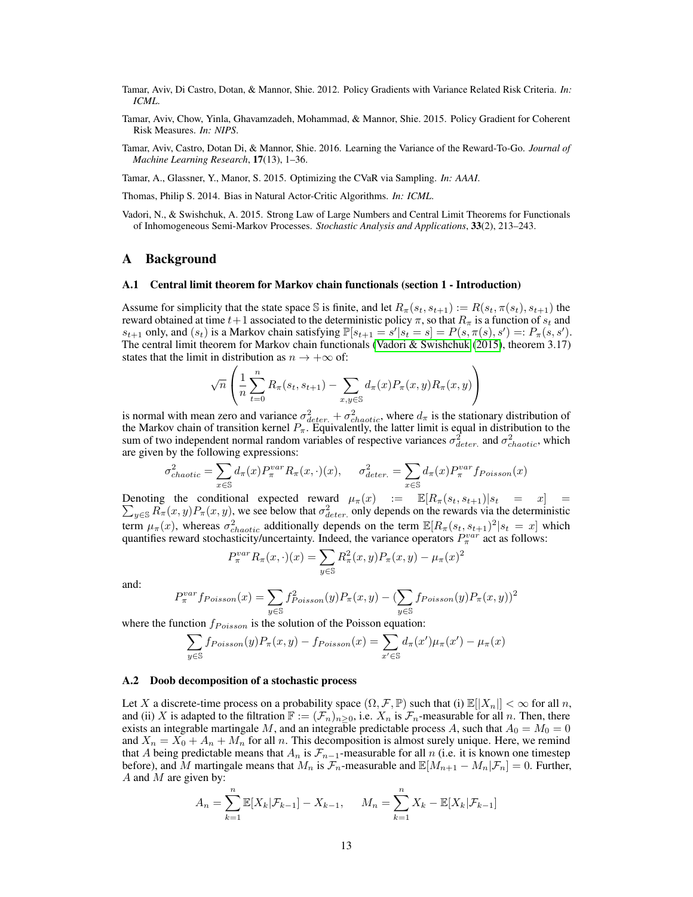- <span id="page-12-3"></span>Tamar, Aviv, Di Castro, Dotan, & Mannor, Shie. 2012. Policy Gradients with Variance Related Risk Criteria. *In: ICML*.
- <span id="page-12-1"></span>Tamar, Aviv, Chow, Yinla, Ghavamzadeh, Mohammad, & Mannor, Shie. 2015. Policy Gradient for Coherent Risk Measures. *In: NIPS*.
- <span id="page-12-2"></span>Tamar, Aviv, Castro, Dotan Di, & Mannor, Shie. 2016. Learning the Variance of the Reward-To-Go. *Journal of Machine Learning Research*, 17(13), 1–36.
- <span id="page-12-0"></span>Tamar, A., Glassner, Y., Manor, S. 2015. Optimizing the CVaR via Sampling. *In: AAAI*.

<span id="page-12-6"></span>Thomas, Philip S. 2014. Bias in Natural Actor-Critic Algorithms. *In: ICML*.

<span id="page-12-4"></span>Vadori, N., & Swishchuk, A. 2015. Strong Law of Large Numbers and Central Limit Theorems for Functionals of Inhomogeneous Semi-Markov Processes. *Stochastic Analysis and Applications*, 33(2), 213–243.

#### A Background

#### A.1 Central limit theorem for Markov chain functionals (section 1 - Introduction)

Assume for simplicity that the state space S is finite, and let  $R_\pi(s_t, s_{t+1}) := R(s_t, \pi(s_t), s_{t+1})$  the reward obtained at time  $t+1$  associated to the deterministic policy  $\pi$ , so that  $R_{\pi}$  is a function of  $s_t$  and  $s_{t+1}$  only, and  $(s_t)$  is a Markov chain satisfying  $\mathbb{P}[s_{t+1} = s' | s_t = s] = P(s, \pi(s), s') =: P_\pi(s, s').$ The central limit theorem for Markov chain functionals [\(Vadori & Swishchuk](#page-12-4) [\(2015\)](#page-12-4), theorem 3.17) states that the limit in distribution as  $n \to +\infty$  of:

$$
\sqrt{n}\left(\frac{1}{n}\sum_{t=0}^{n}R_{\pi}(s_t,s_{t+1})-\sum_{x,y\in\mathbb{S}}d_{\pi}(x)P_{\pi}(x,y)R_{\pi}(x,y)\right)
$$

is normal with mean zero and variance  $\sigma_{deter.}^2 + \sigma_{chaotic}^2$ , where  $d_{\pi}$  is the stationary distribution of the Markov chain of transition kernel  $P_{\pi}$ . Equivalently, the latter limit is equal in distribution to the sum of two independent normal random variables of respective variances  $\sigma_{deter.}^2$  and  $\sigma_{chaotic}^2$ , which are given by the following expressions:

$$
\sigma_{chaotic}^2 = \sum_{x \in \mathbb{S}} d_{\pi}(x) P_{\pi}^{var} R_{\pi}(x, \cdot)(x), \quad \sigma_{deter.}^2 = \sum_{x \in \mathbb{S}} d_{\pi}(x) P_{\pi}^{var} f_{Poisson}(x)
$$

Denoting the conditional expected reward  $\mu_{\pi}(x)$  :=  $\mathbb{E}[R_{\pi}(s_t, s_{t+1})|s_t = x] =$  $\sum_{y \in S} R_{\pi}(x, y) P_{\pi}(x, y)$ , we see below that  $\sigma_{deter.}^2$  only depends on the rewards via the deterministic term  $\mu_{\pi}(x)$ , whereas  $\sigma_{chaotic}^2$  additionally depends on the term  $\mathbb{E}[R_{\pi}(s_t, s_{t+1})^2|s_t = x]$  which quantifies reward stochasticity/uncertainty. Indeed, the variance operators  $P_{\pi}^{var}$  act as follows:

$$
P_{\pi}^{var} R_{\pi}(x, \cdot)(x) = \sum_{y \in \mathbb{S}} R_{\pi}^{2}(x, y) P_{\pi}(x, y) - \mu_{\pi}(x)^{2}
$$

and:

$$
P_\pi^{var} f_{Poisson}(x) = \sum_{y\in \mathbb{S}} f^2_{Poisson}(y) P_\pi(x,y) - (\sum_{y\in \mathbb{S}} f_{Poisson}(y) P_\pi(x,y))^2
$$

where the function  $f_{Poisson}$  is the solution of the Poisson equation:

$$
\sum_{y \in \mathbb{S}} f_{Poisson}(y) P_{\pi}(x, y) - f_{Poisson}(x) = \sum_{x' \in \mathbb{S}} d_{\pi}(x') \mu_{\pi}(x') - \mu_{\pi}(x)
$$

#### <span id="page-12-5"></span>A.2 Doob decomposition of a stochastic process

Let X a discrete-time process on a probability space  $(\Omega, \mathcal{F}, \mathbb{P})$  such that (i)  $\mathbb{E}[|X_n|] < \infty$  for all n, and (ii) X is adapted to the filtration  $\mathbb{F} := (\mathcal{F}_n)_{n \geq 0}$ , i.e.  $X_n$  is  $\mathcal{F}_n$ -measurable for all n. Then, there exists an integrable martingale M, and an integrable predictable process A, such that  $A_0 = M_0 = 0$ and  $X_n = X_0 + A_n + M_n$  for all n. This decomposition is almost surely unique. Here, we remind that A being predictable means that  $A_n$  is  $\mathcal{F}_{n-1}$ -measurable for all n (i.e. it is known one timestep before), and M martingale means that  $M_n$  is  $\mathcal{F}_n$ -measurable and  $\mathbb{E}[M_{n+1} - M_n | \mathcal{F}_n] = 0$ . Further,  $A$  and  $M$  are given by:

$$
A_n = \sum_{k=1}^n \mathbb{E}[X_k | \mathcal{F}_{k-1}] - X_{k-1}, \quad M_n = \sum_{k=1}^n X_k - \mathbb{E}[X_k | \mathcal{F}_{k-1}]
$$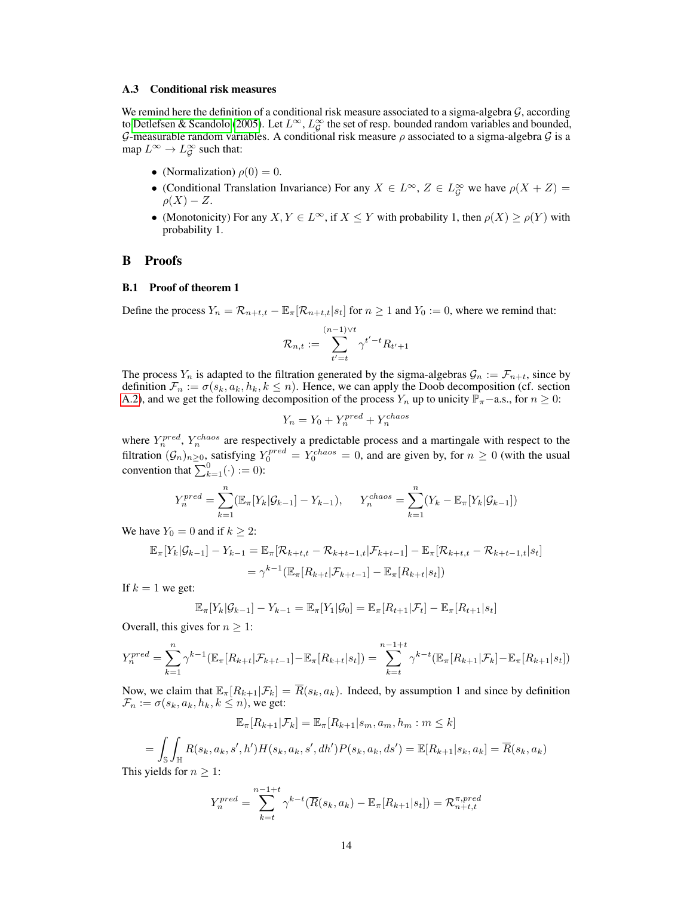#### A.3 Conditional risk measures

We remind here the definition of a conditional risk measure associated to a sigma-algebra  $G$ , according to [Detlefsen & Scandolo](#page-11-16) [\(2005\)](#page-11-16). Let  $L^{\infty}$ ,  $L^{\infty}_G$  the set of resp. bounded random variables and bounded, G-measurable random variables. A conditional risk measure  $\rho$  associated to a sigma-algebra  $\mathcal G$  is a map  $L^{\infty} \to L^{\infty}_{\mathcal{G}}$  such that:

- (Normalization)  $\rho(0) = 0$ .
- (Conditional Translation Invariance) For any  $X \in L^{\infty}$ ,  $Z \in L^{\infty}_\mathcal{G}$  we have  $\rho(X + Z) =$  $\rho(X) - Z.$
- (Monotonicity) For any  $X, Y \in L^{\infty}$ , if  $X \leq Y$  with probability 1, then  $\rho(X) \geq \rho(Y)$  with probability 1.

# B Proofs

### B.1 Proof of theorem 1

Define the process  $Y_n = \mathcal{R}_{n+t,t} - \mathbb{E}_{\pi}[\mathcal{R}_{n+t,t}|s_t]$  for  $n \ge 1$  and  $Y_0 := 0$ , where we remind that:

$$
\mathcal{R}_{n,t}:=\sum_{t'=t}^{(n-1)\vee t}\gamma^{t'-t}R_{t'+1}
$$

The process  $Y_n$  is adapted to the filtration generated by the sigma-algebras  $\mathcal{G}_n := \mathcal{F}_{n+t}$ , since by definition  $\mathcal{F}_n := \sigma(s_k, a_k, h_k, k \leq n)$ . Hence, we can apply the Doob decomposition (cf. section [A.2\)](#page-12-5), and we get the following decomposition of the process  $Y_n$  up to unicity  $\mathbb{P}_{\pi}$ −a.s., for  $n \geq 0$ :

$$
Y_n = Y_0 + Y_n^{pred} + Y_n^{chaos}
$$

where  $Y_n^{pred}$ ,  $Y_n^{chaos}$  are respectively a predictable process and a martingale with respect to the filtration  $(G_n)_{n\geq 0}$ , satisfying  $Y_0^{pred} = Y_0^{chaos} = 0$ , and are given by, for  $n \geq 0$  (with the usual convention that  $\sum_{k=1}^{0}(\cdot) := 0$ :

$$
Y_n^{pred} = \sum_{k=1}^n (\mathbb{E}_{\pi}[Y_k|\mathcal{G}_{k-1}] - Y_{k-1}), \quad Y_n^{chaos} = \sum_{k=1}^n (Y_k - \mathbb{E}_{\pi}[Y_k|\mathcal{G}_{k-1}])
$$

We have  $Y_0 = 0$  and if  $k \geq 2$ :

$$
\mathbb{E}_{\pi}[Y_{k}|\mathcal{G}_{k-1}] - Y_{k-1} = \mathbb{E}_{\pi}[\mathcal{R}_{k+t,t} - \mathcal{R}_{k+t-1,t}|\mathcal{F}_{k+t-1}] - \mathbb{E}_{\pi}[\mathcal{R}_{k+t,t} - \mathcal{R}_{k+t-1,t}|s_{t}]
$$
  
=  $\gamma^{k-1}(\mathbb{E}_{\pi}[R_{k+t}|\mathcal{F}_{k+t-1}] - \mathbb{E}_{\pi}[R_{k+t}|s_{t}])$ 

If  $k = 1$  we get:

$$
\mathbb{E}_{\pi}[Y_k|\mathcal{G}_{k-1}] - Y_{k-1} = \mathbb{E}_{\pi}[Y_1|\mathcal{G}_0] = \mathbb{E}_{\pi}[R_{t+1}|\mathcal{F}_t] - \mathbb{E}_{\pi}[R_{t+1}|s_t]
$$

Overall, this gives for  $n \geq 1$ :

$$
Y_n^{pred} = \sum_{k=1}^n \gamma^{k-1} (\mathbb{E}_{\pi}[R_{k+t}|\mathcal{F}_{k+t-1}] - \mathbb{E}_{\pi}[R_{k+t}|s_t]) = \sum_{k=t}^{n-1+t} \gamma^{k-t} (\mathbb{E}_{\pi}[R_{k+1}|\mathcal{F}_k] - \mathbb{E}_{\pi}[R_{k+1}|s_t])
$$

Now, we claim that  $\mathbb{E}_{\pi}[R_{k+1}|\mathcal{F}_k] = \overline{R}(s_k, a_k)$ . Indeed, by assumption 1 and since by definition  $\mathcal{F}_n := \sigma(s_k, a_k, h_k, k \leq n)$ , we get:

$$
\mathbb{E}_{\pi}[R_{k+1}|\mathcal{F}_k] = \mathbb{E}_{\pi}[R_{k+1}|s_m, a_m, h_m : m \leq k]
$$

$$
= \int_{\mathbb{S}} \int_{\mathbb{H}} R(s_k, a_k, s', h') H(s_k, a_k, s', dh') P(s_k, a_k, ds') = \mathbb{E}[R_{k+1}|s_k, a_k] = \overline{R}(s_k, a_k)
$$
  
 yields for  $n > 1$ :

This yields for  $n \geq 1$ :

$$
Y_n^{pred} = \sum_{k=t}^{n-1+t} \gamma^{k-t} (\overline{R}(s_k, a_k) - \mathbb{E}_{\pi}[R_{k+1}|s_t]) = \mathcal{R}_{n+t,t}^{\pi, pred}
$$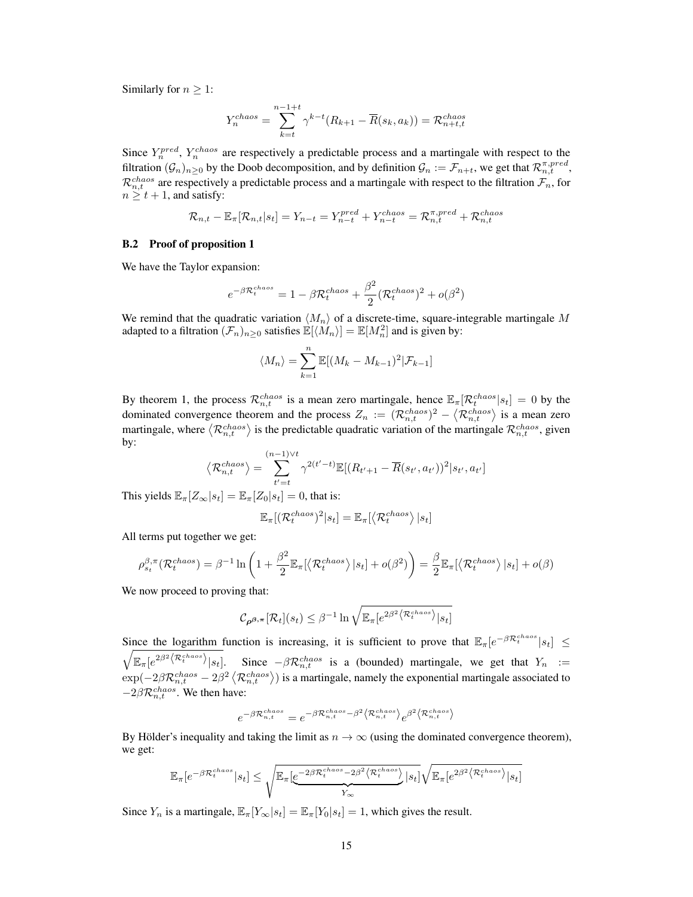Similarly for  $n > 1$ :

$$
Y_n^{chaos} = \sum_{k=t}^{n-1+t} \gamma^{k-t} (R_{k+1} - \overline{R}(s_k, a_k)) = \mathcal{R}_{n+t,t}^{chaos}
$$

Since  $Y_n^{pred}$ ,  $Y_n^{chaos}$  are respectively a predictable process and a martingale with respect to the filtration  $(\mathcal{G}_n)_{n\geq 0}$  by the Doob decomposition, and by definition  $\mathcal{G}_n := \mathcal{F}_{n+t}$ , we get that  $\mathcal{R}_{n,t}^{\pi, pred}$ ,  $\mathcal{R}^{chaos}_{n,t}$  are respectively a predictable process and a martingale with respect to the filtration  $\mathcal{F}_n$ , for  $n \geq t+1$ , and satisfy:

$$
\mathcal{R}_{n,t} - \mathbb{E}_{\pi}[\mathcal{R}_{n,t} | s_t] = Y_{n-t} = Y_{n-t}^{pred} + Y_{n-t}^{chaos} = \mathcal{R}_{n,t}^{\pi,pred} + \mathcal{R}_{n,t}^{chaos}
$$

### B.2 Proof of proposition 1

We have the Taylor expansion:

$$
e^{-\beta \mathcal{R}_t^{chaos}} = 1 - \beta \mathcal{R}_t^{chaos} + \frac{\beta^2}{2} (\mathcal{R}_t^{chaos})^2 + o(\beta^2)
$$

We remind that the quadratic variation  $\langle M_n \rangle$  of a discrete-time, square-integrable martingale M adapted to a filtration  $(\mathcal{F}_n)_{n\geq 0}$  satisfies  $\mathbb{E}[\langle M_n \rangle] = \mathbb{E}[M_n^2]$  and is given by:

$$
\langle M_n \rangle = \sum_{k=1}^n \mathbb{E}[(M_k - M_{k-1})^2 | \mathcal{F}_{k-1}]
$$

By theorem 1, the process  $\mathcal{R}_{n,t}^{chaos}$  is a mean zero martingale, hence  $\mathbb{E}_{\pi}[\mathcal{R}_t^{chaos}|s_t] = 0$  by the dominated convergence theorem and the process  $Z_n := (\mathcal{R}_{n,t}^{chaos})^2 - \langle \mathcal{R}_{n,t}^{chaos} \rangle$  is a mean zero martingale, where  $\langle \mathcal{R}_{n,t}^{chaos} \rangle$  is the predictable quadratic variation of the martingale  $\mathcal{R}_{n,t}^{chaos}$ , given by:

$$
\langle \mathcal{R}_{n,t}^{chaos} \rangle = \sum_{t'=t}^{(n-1)\vee t} \gamma^{2(t'-t)} \mathbb{E}[(R_{t'+1} - \overline{R}(s_{t'}, a_{t'}))^2 | s_{t'}, a_{t'}]
$$

This yields  $\mathbb{E}_{\pi}[Z_{\infty}|s_t] = \mathbb{E}_{\pi}[Z_0|s_t] = 0$ , that is:

$$
\mathbb{E}_{\pi}[(\mathcal{R}_t^{chaos})^2|s_t] = \mathbb{E}_{\pi}[\langle \mathcal{R}_t^{chaos} \rangle |s_t]
$$

All terms put together we get:

$$
\rho_{s_t}^{\beta,\pi}(\mathcal{R}_t^{chaos}) = \beta^{-1} \ln \left( 1 + \frac{\beta^2}{2} \mathbb{E}_{\pi} [\langle \mathcal{R}_t^{chaos} \rangle | s_t] + o(\beta^2) \right) = \frac{\beta}{2} \mathbb{E}_{\pi} [\langle \mathcal{R}_t^{chaos} \rangle | s_t] + o(\beta)
$$

We now proceed to proving that:

$$
\mathcal{C}_{\boldsymbol{\rho}^{\boldsymbol{\beta},\boldsymbol{\pi}}}[\mathcal{R}_t](s_t) \leq \beta^{-1} \ln \sqrt{\mathbb{E}_{\boldsymbol{\pi}}[e^{2\beta^2} \langle \mathcal{R}_t^{chaos} \rangle | s_t]}
$$

Since the logarithm function is increasing, it is sufficient to prove that  $\mathbb{E}_{\pi}[e^{-\beta \mathcal{R}_t^{chaos}}|s_t] \leq$  $\sqrt{\mathbb{E}_{\pi}[e^{2\beta^2 \langle \mathcal{R}_t^{chaos} \rangle | s_t]}$ . Since  $-\beta \mathcal{R}_{n,t}^{chaos}$  is a (bounded) martingale, we get that  $Y_n :=$  $\exp(-2\beta\mathcal{R}^{chaos}_{n,t}-2\beta^2\left\langle \mathcal{R}^{chaos}_{n,t}\right\rangle)$  is a martingale, namely the exponential martingale associated to  $-2\beta \mathcal{R}_{n,t}^{chaos}$ . We then have:

$$
e^{-\beta \mathcal{R}_{n,t}^{chaos}}=e^{-\beta \mathcal{R}_{n,t}^{chaos}-\beta^2\left\langle \mathcal{R}_{n,t}^{chaos}\right\rangle }e^{\beta^2\left\langle \mathcal{R}_{n,t}^{chaos}\right\rangle }
$$

By Hölder's inequality and taking the limit as  $n \to \infty$  (using the dominated convergence theorem), we get:

$$
\mathbb{E}_{\pi}[e^{-\beta \mathcal{R}_t^{chaos}}|s_t] \leq \sqrt{\mathbb{E}_{\pi}[\underbrace{e^{-2\beta \mathcal{R}_t^{chaos}-2\beta^2} \langle \mathcal{R}_t^{chaos}}_{Y_{\infty}}|s_t]} \sqrt{\mathbb{E}_{\pi}[e^{2\beta^2} \langle \mathcal{R}_t^{chaos}\rangle|s_t]}
$$

Since  $Y_n$  is a martingale,  $\mathbb{E}_{\pi}[Y_{\infty}|s_t] = \mathbb{E}_{\pi}[Y_0|s_t] = 1$ , which gives the result.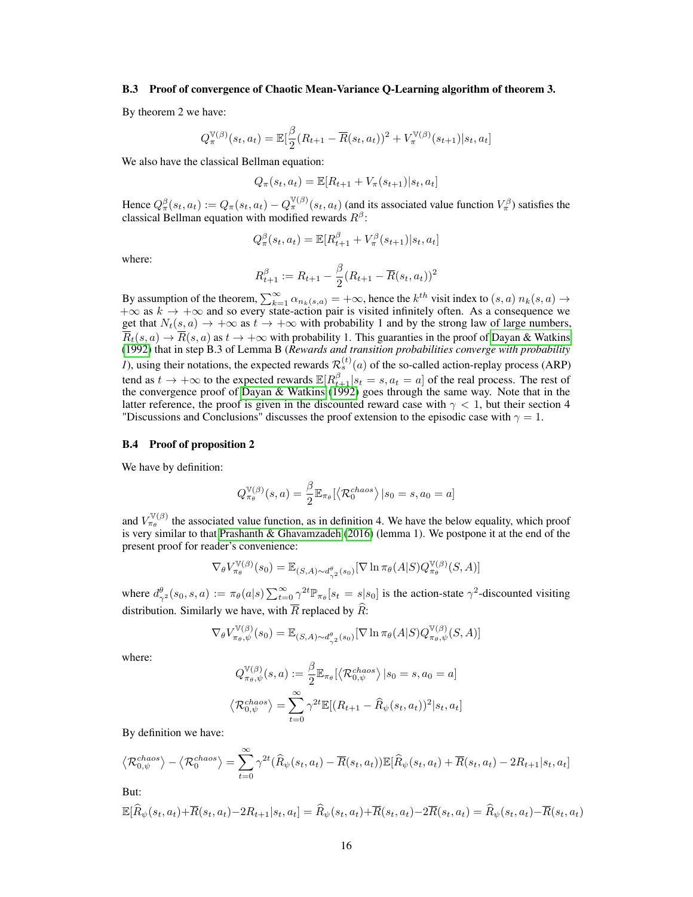### B.3 Proof of convergence of Chaotic Mean-Variance Q-Learning algorithm of theorem 3.

By theorem 2 we have:

$$
Q_{\pi}^{\mathbb{V}(\beta)}(s_t, a_t) = \mathbb{E}[\frac{\beta}{2}(R_{t+1} - \overline{R}(s_t, a_t))^2 + V_{\pi}^{\mathbb{V}(\beta)}(s_{t+1})|s_t, a_t]
$$

We also have the classical Bellman equation:

$$
Q_{\pi}(s_t, a_t) = \mathbb{E}[R_{t+1} + V_{\pi}(s_{t+1}) | s_t, a_t]
$$

Hence  $Q_{\pi}^{\beta}(s_t, a_t) := Q_{\pi}(s_t, a_t) - Q_{\pi}^{\mathbb{V}(\beta)}(s_t, a_t)$  (and its associated value function  $V_{\pi}^{\beta}$ ) satisfies the classical Bellman equation with modified rewards  $R^{\beta}$ :

$$
Q_{\pi}^{\beta}(s_t, a_t) = \mathbb{E}[R_{t+1}^{\beta} + V_{\pi}^{\beta}(s_{t+1})|s_t, a_t]
$$

where:

$$
R_{t+1}^{\beta} := R_{t+1} - \frac{\beta}{2} (R_{t+1} - \overline{R}(s_t, a_t))^2
$$

By assumption of the theorem,  $\sum_{k=1}^{\infty} \alpha_{n_k(s,a)} = +\infty$ , hence the  $k^{th}$  visit index to  $(s, a)$   $n_k(s, a) \rightarrow$  $+\infty$  as  $k \to +\infty$  and so every state-action pair is visited infinitely often. As a consequence we get that  $N_t(s, a) \to +\infty$  as  $t \to +\infty$  with probability 1 and by the strong law of large numbers,  $\overline{R}_t(s, a) \to \overline{R}(s, a)$  as  $t \to +\infty$  with probability 1. This guaranties in the proof of [Dayan & Watkins](#page-11-17) [\(1992\)](#page-11-17) that in step B.3 of Lemma B (*Rewards and transition probabilities converge with probability 1*), using their notations, the expected rewards  $\mathcal{R}_s^{(t)}(a)$  of the so-called action-replay process (ARP) tend as  $t \to +\infty$  to the expected rewards  $\mathbb{E}[R_{t+1}^{\beta}|s_t = s, a_t = a]$  of the real process. The rest of the convergence proof of [Dayan & Watkins](#page-11-17) [\(1992\)](#page-11-17) goes through the same way. Note that in the latter reference, the proof is given in the discounted reward case with  $\gamma$  < 1, but their section 4 "Discussions and Conclusions" discusses the proof extension to the episodic case with  $\gamma = 1$ .

#### <span id="page-15-0"></span>B.4 Proof of proposition 2

We have by definition:

$$
Q_{\pi_{\theta}}^{\mathbb{V}(\beta)}(s, a) = \frac{\beta}{2} \mathbb{E}_{\pi_{\theta}}[\langle \mathcal{R}_0^{chaos} \rangle | s_0 = s, a_0 = a]
$$

and  $V_{\pi_{\theta}}^{\mathbb{V}(\beta)}$  the associated value function, as in definition 4. We have the below equality, which proof is very similar to that [Prashanth & Ghavamzadeh](#page-11-3) [\(2016\)](#page-11-3) (lemma 1). We postpone it at the end of the present proof for reader's convenience:

$$
\nabla_{\theta} V_{\pi_{\theta}}^{\mathbb{V}(\beta)}(s_0) = \mathbb{E}_{(S,A) \sim d_{\gamma^2}^{\theta}(s_0)}[\nabla \ln \pi_{\theta}(A|S) Q_{\pi_{\theta}}^{\mathbb{V}(\beta)}(S,A)]
$$

where  $d_{\gamma^2}^{\theta}(s_0, s, a) := \pi_{\theta}(a|s) \sum_{t=0}^{\infty} \gamma^{2t} \mathbb{P}_{\pi_{\theta}}[s_t = s|s_0]$  is the action-state  $\gamma^2$ -discounted visiting distribution. Similarly we have, with  $\overline{R}$  replaced by  $\widehat{R}$ :

$$
\nabla_{\theta} V_{\pi_{\theta},\psi}^{\mathbb{V}(\beta)}(s_0) = \mathbb{E}_{(S,A)\sim d_{\gamma^2}^{\theta}(s_0)}[\nabla \ln \pi_{\theta}(A|S)Q_{\pi_{\theta},\psi}^{\mathbb{V}(\beta)}(S,A)]
$$

where:

$$
Q_{\pi_{\theta},\psi}^{\mathbb{V}(\beta)}(s,a) := \frac{\beta}{2} \mathbb{E}_{\pi_{\theta}}[\langle \mathcal{R}_{0,\psi}^{chaos} \rangle | s_0 = s, a_0 = a]
$$

$$
\langle \mathcal{R}_{0,\psi}^{chaos} \rangle = \sum_{t=0}^{\infty} \gamma^{2t} \mathbb{E}[(R_{t+1} - \widehat{R}_{\psi}(s_t, a_t))^2 | s_t, a_t]
$$

By definition we have:

$$
\langle \mathcal{R}_{0,\psi}^{chaos} \rangle - \langle \mathcal{R}_{0}^{chaos} \rangle = \sum_{t=0}^{\infty} \gamma^{2t} (\widehat{R}_{\psi}(s_t, a_t) - \overline{R}(s_t, a_t)) \mathbb{E}[\widehat{R}_{\psi}(s_t, a_t) + \overline{R}(s_t, a_t) - 2R_{t+1}|s_t, a_t]
$$

But:

$$
\mathbb{E}[\widehat{R}_\psi(s_t,a_t)+\overline{R}(s_t,a_t)-2R_{t+1}|s_t,a_t]=\widehat{R}_\psi(s_t,a_t)+\overline{R}(s_t,a_t)-2\overline{R}(s_t,a_t)=\widehat{R}_\psi(s_t,a_t)-\overline{R}(s_t,a_t)
$$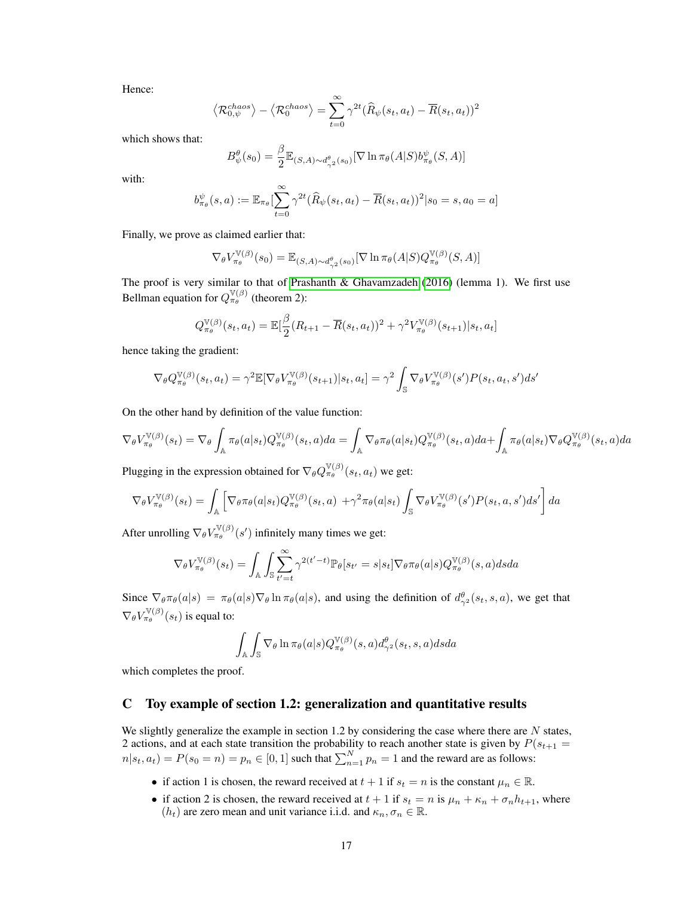Hence:

$$
\left\langle \mathcal{R}_{0,\psi}^{chaos}\right\rangle - \left\langle \mathcal{R}_{0}^{chaos}\right\rangle = \sum_{t=0}^{\infty} \gamma^{2t} (\widehat{R}_{\psi}(s_t,a_t) - \overline{R}(s_t,a_t))^2
$$

which shows that:

$$
B^{\theta}_{\psi}(s_0) = \frac{\beta}{2} \mathbb{E}_{(S,A) \sim d^{\theta}_{\gamma^2}(s_0)}[\nabla \ln \pi_{\theta}(A|S) b^{\psi}_{\pi_{\theta}}(S,A)]
$$

with:

$$
b_{\pi_{\theta}}^{\psi}(s, a) := \mathbb{E}_{\pi_{\theta}} \left[ \sum_{t=0}^{\infty} \gamma^{2t} (\widehat{R}_{\psi}(s_t, a_t) - \overline{R}(s_t, a_t))^2 | s_0 = s, a_0 = a \right]
$$

Finally, we prove as claimed earlier that:

$$
\nabla_{\theta} V_{\pi_{\theta}}^{\mathbb{V}(\beta)}(s_0) = \mathbb{E}_{(S,A) \sim d_{\gamma^2}^{\theta}(s_0)}[\nabla \ln \pi_{\theta}(A|S) Q_{\pi_{\theta}}^{\mathbb{V}(\beta)}(S,A)]
$$

The proof is very similar to that of [Prashanth & Ghavamzadeh](#page-11-3) [\(2016\)](#page-11-3) (lemma 1). We first use Bellman equation for  $Q_{\pi,\theta}^{\mathbb{V}(\beta)}$  (theorem 2):

$$
Q_{\pi_{\theta}}^{\mathbb{V}(\beta)}(s_t, a_t) = \mathbb{E}[\frac{\beta}{2}(R_{t+1} - \overline{R}(s_t, a_t))^2 + \gamma^2 V_{\pi_{\theta}}^{\mathbb{V}(\beta)}(s_{t+1})|s_t, a_t]
$$

hence taking the gradient:

$$
\nabla_{\theta} Q_{\pi_{\theta}}^{\mathbb{V}(\beta)}(s_t, a_t) = \gamma^2 \mathbb{E}[\nabla_{\theta} V_{\pi_{\theta}}^{\mathbb{V}(\beta)}(s_{t+1}) | s_t, a_t] = \gamma^2 \int_{\mathbb{S}} \nabla_{\theta} V_{\pi_{\theta}}^{\mathbb{V}(\beta)}(s') P(s_t, a_t, s') ds'
$$

On the other hand by definition of the value function:

$$
\nabla_{\theta} V_{\pi_{\theta}}^{\mathbb{V}(\beta)}(s_{t}) = \nabla_{\theta} \int_{\mathbb{A}} \pi_{\theta}(a|s_{t}) Q_{\pi_{\theta}}^{\mathbb{V}(\beta)}(s_{t}, a) da = \int_{\mathbb{A}} \nabla_{\theta} \pi_{\theta}(a|s_{t}) Q_{\pi_{\theta}}^{\mathbb{V}(\beta)}(s_{t}, a) da + \int_{\mathbb{A}} \pi_{\theta}(a|s_{t}) \nabla_{\theta} Q_{\pi_{\theta}}^{\mathbb{V}(\beta)}(s_{t}, a) da
$$

Plugging in the expression obtained for  $\nabla_{\theta} Q_{\pi_{\theta}}^{\mathbb{V}(\beta)}(s_t, a_t)$  we get:

$$
\nabla_{\theta} V_{\pi_{\theta}}^{\mathbb{V}(\beta)}(s_t) = \int_{\mathbb{A}} \left[ \nabla_{\theta} \pi_{\theta}(a|s_t) Q_{\pi_{\theta}}^{\mathbb{V}(\beta)}(s_t, a) + \gamma^2 \pi_{\theta}(a|s_t) \int_{\mathbb{S}} \nabla_{\theta} V_{\pi_{\theta}}^{\mathbb{V}(\beta)}(s') P(s_t, a, s') ds' \right] da
$$

After unrolling  $\nabla_{\theta} V_{\pi_{\theta}}^{\mathbb{V}(\beta)}(s')$  infinitely many times we get:

$$
\nabla_{\theta} V_{\pi_{\theta}}^{\mathbb{V}(\beta)}(s_t) = \int_{\mathbb{A}} \int_{\mathbb{S}} \sum_{t'=t}^{\infty} \gamma^{2(t'-t)} \mathbb{P}_{\theta}[s_{t'} = s | s_t] \nabla_{\theta} \pi_{\theta}(a|s) Q_{\pi_{\theta}}^{\mathbb{V}(\beta)}(s, a) ds da
$$

Since  $\nabla_{\theta} \pi_{\theta}(a|s) = \pi_{\theta}(a|s) \nabla_{\theta} \ln \pi_{\theta}(a|s)$ , and using the definition of  $d^{\theta}_{\gamma^2}(s_t, s, a)$ , we get that  $\nabla_{\theta} V_{\pi_{\theta}}^{\mathbb{V}(\beta)}(s_t)$  is equal to:

$$
\int_{\mathbb{A}} \int_{\mathbb{S}} \nabla_{\theta} \ln \pi_{\theta}(a|s) Q^{\mathbb{V}(\beta)}_{\pi_{\theta}}(s, a) d^{\theta}_{\gamma^2}(s_t, s, a) ds da
$$

which completes the proof.

# C Toy example of section 1.2: generalization and quantitative results

We slightly generalize the example in section 1.2 by considering the case where there are  $N$  states, 2 actions, and at each state transition the probability to reach another state is given by  $P(s_{t+1} =$  $n|s_t, a_t) = P(s_0 = n) = p_n \in [0, 1]$  such that  $\sum_{n=1}^{N} p_n = 1$  and the reward are as follows:

- if action 1 is chosen, the reward received at  $t + 1$  if  $s_t = n$  is the constant  $\mu_n \in \mathbb{R}$ .
- if action 2 is chosen, the reward received at  $t + 1$  if  $s_t = n$  is  $\mu_n + \kappa_n + \sigma_n h_{t+1}$ , where  $(h_t)$  are zero mean and unit variance i.i.d. and  $\kappa_n, \sigma_n \in \mathbb{R}$ .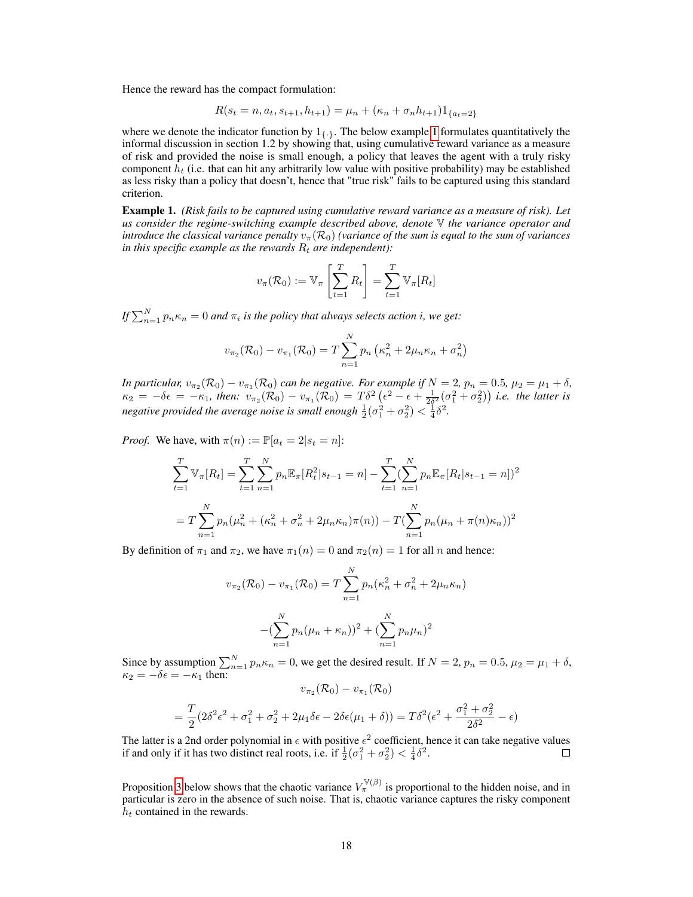Hence the reward has the compact formulation:

$$
R(s_t = n, a_t, s_{t+1}, h_{t+1}) = \mu_n + (\kappa_n + \sigma_n h_{t+1}) \mathbb{1}_{\{a_t = 2\}}
$$

where we denote the indicator function by  $1_{\{.\}}$ . The below example [1](#page-17-0) formulates quantitatively the informal discussion in section 1.2 by showing that, using cumulative reward variance as a measure of risk and provided the noise is small enough, a policy that leaves the agent with a truly risky component  $h_t$  (i.e. that can hit any arbitrarily low value with positive probability) may be established as less risky than a policy that doesn't, hence that "true risk" fails to be captured using this standard criterion.

<span id="page-17-0"></span>Example 1. *(Risk fails to be captured using cumulative reward variance as a measure of risk). Let us consider the regime-switching example described above, denote* V *the variance operator and introduce the classical variance penalty*  $v_{\pi}(\mathcal{R}_0)$  *(variance of the sum is equal to the sum of variances in this specific example as the rewards*  $R_t$  *are independent*):

$$
v_{\pi}(\mathcal{R}_0) := \mathbb{V}_{\pi} \left[ \sum_{t=1}^{T} R_t \right] = \sum_{t=1}^{T} \mathbb{V}_{\pi}[R_t]
$$

*If*  $\sum_{n=1}^{N} p_n \kappa_n = 0$  and  $\pi_i$  is the policy that always selects action i, we get:

$$
v_{\pi_2}(\mathcal{R}_0) - v_{\pi_1}(\mathcal{R}_0) = T \sum_{n=1}^{N} p_n \left( \kappa_n^2 + 2\mu_n \kappa_n + \sigma_n^2 \right)
$$

*In particular,*  $v_{\pi_2}(\mathcal{R}_0) - v_{\pi_1}(\mathcal{R}_0)$  can be negative. For example if  $N = 2$ ,  $p_n = 0.5$ ,  $\mu_2 = \mu_1 + \delta$ ,  $\kappa_2 = -\delta \epsilon = -\kappa_1$ , then:  $v_{\pi_2}(\mathcal{R}_0) - v_{\pi_1}(\mathcal{R}_0) = T\delta^2 \left(\epsilon^2 - \epsilon + \frac{1}{2\delta^2}(\sigma_1^2 + \sigma_2^2)\right)$  *i.e.* the latter is *negative provided the average noise is small enough*  $\frac{1}{2}(\sigma_1^2 + \sigma_2^2) < \frac{1}{4}\delta^2$ .

*Proof.* We have, with  $\pi(n) := \mathbb{P}[a_t = 2|s_t = n]$ :

$$
\sum_{t=1}^{T} \mathbb{V}_{\pi}[R_t] = \sum_{t=1}^{T} \sum_{n=1}^{N} p_n \mathbb{E}_{\pi}[R_t^2 | s_{t-1} = n] - \sum_{t=1}^{T} (\sum_{n=1}^{N} p_n \mathbb{E}_{\pi}[R_t | s_{t-1} = n])^2
$$

$$
= T \sum_{n=1}^{N} p_n (\mu_n^2 + (\kappa_n^2 + \sigma_n^2 + 2\mu_n \kappa_n) \pi(n)) - T (\sum_{n=1}^{N} p_n (\mu_n + \pi(n) \kappa_n))^2
$$

By definition of  $\pi_1$  and  $\pi_2$ , we have  $\pi_1(n) = 0$  and  $\pi_2(n) = 1$  for all n and hence:

$$
v_{\pi_2}(\mathcal{R}_0) - v_{\pi_1}(\mathcal{R}_0) = T \sum_{n=1}^N p_n (\kappa_n^2 + \sigma_n^2 + 2\mu_n \kappa_n)
$$

$$
-(\sum_{n=1}^N p_n (\mu_n + \kappa_n))^2 + (\sum_{n=1}^N p_n \mu_n)^2
$$

Since by assumption  $\sum_{n=1}^{N} p_n \kappa_n = 0$ , we get the desired result. If  $N = 2$ ,  $p_n = 0.5$ ,  $\mu_2 = \mu_1 + \delta$ ,  $\kappa_2 = -\delta \epsilon = -\kappa_1$  then:

$$
v_{\pi_2}(\mathcal{R}_0) - v_{\pi_1}(\mathcal{R}_0)
$$
  
=  $\frac{T}{2}(2\delta^2\epsilon^2 + \sigma_1^2 + \sigma_2^2 + 2\mu_1\delta\epsilon - 2\delta\epsilon(\mu_1 + \delta)) = T\delta^2(\epsilon^2 + \frac{\sigma_1^2 + \sigma_2^2}{2\delta^2} - \epsilon)$ 

The latter is a 2nd order polynomial in  $\epsilon$  with positive  $\epsilon^2$  coefficient, hence it can take negative values if and only if it has two distinct real roots, i.e. if  $\frac{1}{2}(\sigma_1^2 + \sigma_2^2) < \frac{1}{4}\delta^2$ .  $\Box$ 

Proposition [3](#page-18-0) below shows that the chaotic variance  $V^{\mathbb{V}(\beta)}_{\pi}$  is proportional to the hidden noise, and in particular is zero in the absence of such noise. That is, chaotic variance captures the risky component  $h_t$  contained in the rewards.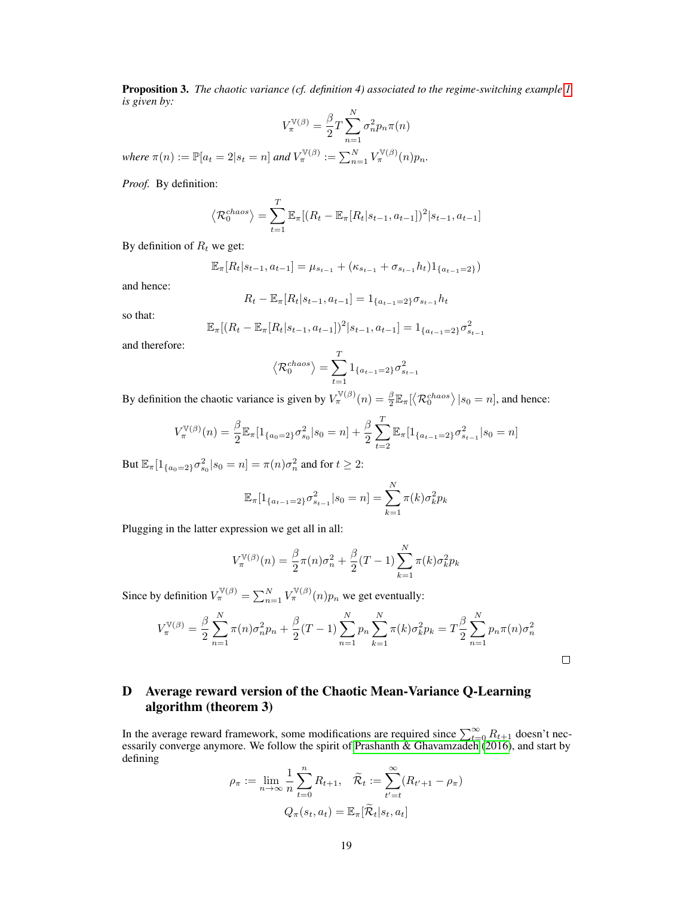<span id="page-18-0"></span>Proposition 3. The chaotic variance (cf. definition 4) associated to the regime-switching example [1](#page-17-0) *is given by:*

$$
V_{\pi}^{\mathbb{V}(\beta)} = \frac{\beta}{2} T \sum_{n=1}^{N} \sigma_n^2 p_n \pi(n)
$$

 $where \ \pi(n) := \mathbb{P}[a_t = 2 | s_t = n] \ and \ V_{\pi}^{\mathbb{V}(\beta)} := \sum_{n=1}^{N} V_{\pi}^{\mathbb{V}(\beta)}(n) p_n.$ 

*Proof.* By definition:

$$
\langle \mathcal{R}_0^{chaos} \rangle = \sum_{t=1}^T \mathbb{E}_{\pi} [(R_t - \mathbb{E}_{\pi}[R_t|s_{t-1}, a_{t-1}])^2 | s_{t-1}, a_{t-1}]
$$

By definition of  $R_t$  we get:

$$
\mathbb{E}_{\pi}[R_t|s_{t-1}, a_{t-1}] = \mu_{s_{t-1}} + (\kappa_{s_{t-1}} + \sigma_{s_{t-1}} h_t)1_{\{a_{t-1}=2\}})
$$

and hence:

$$
R_t - \mathbb{E}_{\pi}[R_t|s_{t-1}, a_{t-1}] = 1_{\{a_{t-1}=2\}} \sigma_{s_{t-1}} h_t
$$

so that:

$$
\mathbb{E}_{\pi}[(R_t - \mathbb{E}_{\pi}[R_t | s_{t-1}, a_{t-1}])^2 | s_{t-1}, a_{t-1}] = 1_{\{a_{t-1} = 2\}} \sigma_{s_{t-1}}^2
$$

and therefore:

$$
\left\langle \mathcal{R}_0^{chaos}\right\rangle =\sum_{t=1}^T\mathbf{1}_{\{a_{t-1}=2\}}\sigma_{s_{t-1}}^2
$$

By definition the chaotic variance is given by  $V_\pi^{V(\beta)}(n) = \frac{\beta}{2} \mathbb{E}_\pi[\langle \mathcal{R}_0^{chaos} \rangle | s_0 = n]$ , and hence:

$$
V_{\pi}^{\mathbb{V}(\beta)}(n) = \frac{\beta}{2} \mathbb{E}_{\pi} [1_{\{a_0 = 2\}} \sigma_{s_0}^2 | s_0 = n] + \frac{\beta}{2} \sum_{t=2}^T \mathbb{E}_{\pi} [1_{\{a_{t-1} = 2\}} \sigma_{s_{t-1}}^2 | s_0 = n]
$$

But  $\mathbb{E}_{\pi}[1_{\{a_0=2\}}\sigma_{s_0}^2|s_0=n]=\pi(n)\sigma_n^2$  and for  $t\geq 2$ :

$$
\mathbb{E}_{\pi}[1_{\{a_{t-1}=2\}}\sigma_{s_{t-1}}^2|s_0=n] = \sum_{k=1}^N \pi(k)\sigma_k^2 p_k
$$

Plugging in the latter expression we get all in all:

$$
V_{\pi}^{\mathbb{V}(\beta)}(n) = \frac{\beta}{2}\pi(n)\sigma_n^2 + \frac{\beta}{2}(T-1)\sum_{k=1}^{N}\pi(k)\sigma_k^2 p_k
$$

Since by definition  $V_{\pi}^{\mathbb{V}(\beta)} = \sum_{n=1}^{N} V_{\pi}^{\mathbb{V}(\beta)}(n) p_n$  we get eventually:

$$
V_{\pi}^{\mathbb{V}(\beta)} = \frac{\beta}{2} \sum_{n=1}^{N} \pi(n) \sigma_n^2 p_n + \frac{\beta}{2} (T-1) \sum_{n=1}^{N} p_n \sum_{k=1}^{N} \pi(k) \sigma_k^2 p_k = T \frac{\beta}{2} \sum_{n=1}^{N} p_n \pi(n) \sigma_n^2
$$

# <span id="page-18-1"></span>D Average reward version of the Chaotic Mean-Variance Q-Learning algorithm (theorem 3)

In the average reward framework, some modifications are required since  $\sum_{t=0}^{\infty} R_{t+1}$  doesn't necessarily converge anymore. We follow the spirit of [Prashanth & Ghavamzadeh](#page-11-3) [\(2016\)](#page-11-3), and start by defining

$$
\rho_{\pi} := \lim_{n \to \infty} \frac{1}{n} \sum_{t=0}^{n} R_{t+1}, \quad \widetilde{\mathcal{R}}_t := \sum_{t'=t}^{\infty} (R_{t'+1} - \rho_{\pi})
$$

$$
Q_{\pi}(s_t, a_t) = \mathbb{E}_{\pi}[\widetilde{\mathcal{R}}_t | s_t, a_t]
$$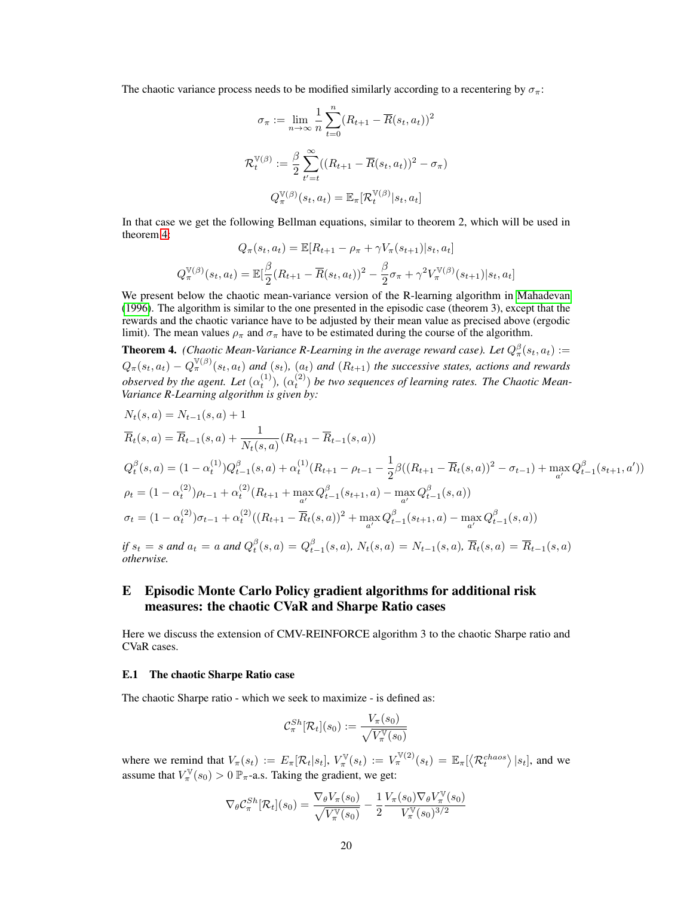The chaotic variance process needs to be modified similarly according to a recentering by  $\sigma_{\pi}$ :

$$
\sigma_{\pi} := \lim_{n \to \infty} \frac{1}{n} \sum_{t=0}^{n} (R_{t+1} - \overline{R}(s_t, a_t))^2
$$

$$
\mathcal{R}_t^{\mathbb{V}(\beta)} := \frac{\beta}{2} \sum_{t'=t}^{\infty} ((R_{t+1} - \overline{R}(s_t, a_t))^2 - \sigma_{\pi})
$$

$$
Q_{\pi}^{\mathbb{V}(\beta)}(s_t, a_t) = \mathbb{E}_{\pi} [\mathcal{R}_t^{\mathbb{V}(\beta)} | s_t, a_t]
$$

In that case we get the following Bellman equations, similar to theorem 2, which will be used in theorem [4:](#page-19-0)

$$
Q_{\pi}(s_t, a_t) = \mathbb{E}[R_{t+1} - \rho_{\pi} + \gamma V_{\pi}(s_{t+1})|s_t, a_t]
$$

$$
Q_{\pi}^{\mathbb{V}(\beta)}(s_t, a_t) = \mathbb{E}[\frac{\beta}{2}(R_{t+1} - \overline{R}(s_t, a_t))^2 - \frac{\beta}{2}\sigma_{\pi} + \gamma^2 V_{\pi}^{\mathbb{V}(\beta)}(s_{t+1})|s_t, a_t]
$$

We present below the chaotic mean-variance version of the R-learning algorithm in [Mahadevan](#page-11-22) [\(1996\)](#page-11-22). The algorithm is similar to the one presented in the episodic case (theorem 3), except that the rewards and the chaotic variance have to be adjusted by their mean value as precised above (ergodic limit). The mean values  $\rho_{\pi}$  and  $\sigma_{\pi}$  have to be estimated during the course of the algorithm.

<span id="page-19-0"></span>**Theorem 4.** (Chaotic Mean-Variance R-Learning in the average reward case). Let  $Q^{\beta}_{\pi}(s_t, a_t) :=$  $Q_{\pi}(s_t, a_t) - Q_{\pi}^{\mathbb{V}(\beta)}(s_t, a_t)$  and  $(s_t)$ ,  $(a_t)$  and  $(R_{t+1})$  the successive states, actions and rewards *observed by the agent. Let*  $(\alpha_t^{(1)}), (\alpha_t^{(2)})$  *be two sequences of learning rates. The Chaotic Mean-Variance R-Learning algorithm is given by:*

$$
N_t(s, a) = N_{t-1}(s, a) + 1
$$
  
\n
$$
\overline{R}_t(s, a) = \overline{R}_{t-1}(s, a) + \frac{1}{N_t(s, a)}(R_{t+1} - \overline{R}_{t-1}(s, a))
$$
  
\n
$$
Q_t^{\beta}(s, a) = (1 - \alpha_t^{(1)})Q_{t-1}^{\beta}(s, a) + \alpha_t^{(1)}(R_{t+1} - \rho_{t-1} - \frac{1}{2}\beta((R_{t+1} - \overline{R}_t(s, a))^2 - \sigma_{t-1}) + \max_{a'} Q_{t-1}^{\beta}(s_{t+1}, a'))
$$
  
\n
$$
\rho_t = (1 - \alpha_t^{(2)})\rho_{t-1} + \alpha_t^{(2)}(R_{t+1} + \max_{a'} Q_{t-1}^{\beta}(s_{t+1}, a) - \max_{a'} Q_{t-1}^{\beta}(s, a))
$$
  
\n
$$
\sigma_t = (1 - \alpha_t^{(2)})\sigma_{t-1} + \alpha_t^{(2)}((R_{t+1} - \overline{R}_t(s, a))^2 + \max_{a'} Q_{t-1}^{\beta}(s_{t+1}, a) - \max_{a'} Q_{t-1}^{\beta}(s, a))
$$

*if*  $s_t = s$  and  $a_t = a$  and  $Q_t^{\beta}(s, a) = Q_{t-1}^{\beta}(s, a)$ ,  $N_t(s, a) = N_{t-1}(s, a)$ ,  $\overline{R}_t(s, a) = \overline{R}_{t-1}(s, a)$ *otherwise.*

# E Episodic Monte Carlo Policy gradient algorithms for additional risk measures: the chaotic CVaR and Sharpe Ratio cases

Here we discuss the extension of CMV-REINFORCE algorithm 3 to the chaotic Sharpe ratio and CVaR cases.

#### <span id="page-19-1"></span>E.1 The chaotic Sharpe Ratio case

The chaotic Sharpe ratio - which we seek to maximize - is defined as:

$$
\mathcal{C}_{\pi}^{Sh}[\mathcal{R}_t](s_0):=\frac{V_\pi(s_0)}{\sqrt{V_\pi^\mathbb{V}(s_0)}}
$$

where we remind that  $V_{\pi}(s_t) := E_{\pi}[\mathcal{R}_t|s_t], V_{\pi}^{\mathbb{V}}(s_t) := V_{\pi}^{\mathbb{V}(2)}(s_t) = \mathbb{E}_{\pi}[\langle \mathcal{R}_t^{chaos} \rangle | s_t],$  and we assume that  $V_{\pi}^{\mathbb{V}}(s_0) > 0 \mathbb{P}_{\pi}$ -a.s. Taking the gradient, we get:

$$
\nabla_{\theta} \mathcal{C}_{\pi}^{Sh} [\mathcal{R}_t](s_0) = \frac{\nabla_{\theta} V_{\pi}(s_0)}{\sqrt{V_{\pi}^{\mathbb{V}}(s_0)}} - \frac{1}{2} \frac{V_{\pi}(s_0) \nabla_{\theta} V_{\pi}^{\mathbb{V}}(s_0)}{V_{\pi}^{\mathbb{V}}(s_0)^{3/2}}
$$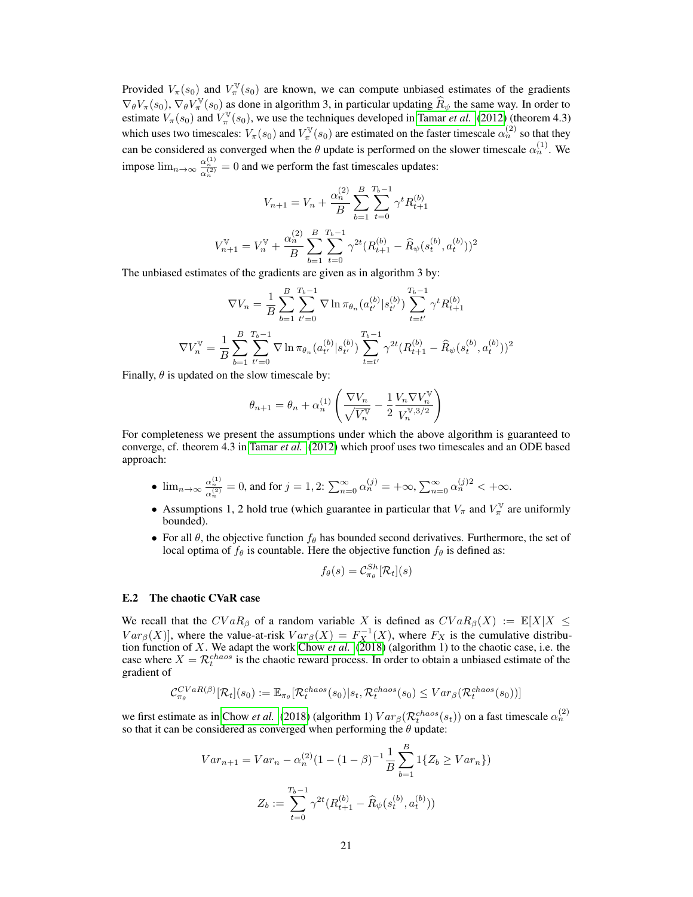Provided  $V_{\pi}(s_0)$  and  $V_{\pi}^{\mathbb{V}}(s_0)$  are known, we can compute unbiased estimates of the gradients  $\nabla_{\theta} V_{\pi}(s_0)$ ,  $\nabla_{\theta} V_{\pi}^{\mathbb{V}}(s_0)$  as done in algorithm 3, in particular updating  $\widehat{R}_{\psi}$  the same way. In order to estimate  $V_{\pi}(s_0)$  and  $V_{\pi}^{\mathbb{V}}(s_0)$ , we use the techniques developed in [Tamar](#page-12-3) *et al.* [\(2012\)](#page-12-3) (theorem 4.3) which uses two timescales:  $V_\pi(s_0)$  and  $V_\pi^{\mathbb{V}}(s_0)$  are estimated on the faster timescale  $\alpha_n^{(2)}$  so that they can be considered as converged when the  $\theta$  update is performed on the slower timescale  $\alpha_n^{(1)}$ . We impose  $\lim_{n\to\infty} \frac{\alpha_n^{(1)}}{\alpha_n^{(2)}} = 0$  and we perform the fast timescales updates:

$$
V_{n+1} = V_n + \frac{\alpha_n^{(2)}}{B} \sum_{b=1}^B \sum_{t=0}^{T_b - 1} \gamma^t R_{t+1}^{(b)}
$$

$$
V_{n+1}^{\mathbf{V}} = V_n^{\mathbf{V}} + \frac{\alpha_n^{(2)}}{B} \sum_{b=1}^B \sum_{t=0}^{T_b - 1} \gamma^{2t} (R_{t+1}^{(b)} - \widehat{R}_{\psi}(s_t^{(b)}, a_t^{(b)}))^2
$$

The unbiased estimates of the gradients are given as in algorithm 3 by:

$$
\nabla V_n = \frac{1}{B} \sum_{b=1}^{B} \sum_{t'=0}^{T_b - 1} \nabla \ln \pi_{\theta_n}(a_{t'}^{(b)} | s_{t'}^{(b)}) \sum_{t=t'}^{T_b - 1} \gamma^t R_{t+1}^{(b)}
$$

$$
\nabla V_n^{\mathbb{V}} = \frac{1}{B} \sum_{b=1}^{B} \sum_{t'=0}^{T_b - 1} \nabla \ln \pi_{\theta_n}(a_{t'}^{(b)} | s_{t'}^{(b)}) \sum_{t=t'}^{T_b - 1} \gamma^{2t} (R_{t+1}^{(b)} - \widehat{R}_{\psi}(s_t^{(b)}, a_t^{(b)}))^2
$$

Finally,  $\theta$  is updated on the slow timescale by:

V

$$
\theta_{n+1} = \theta_n + \alpha_n^{(1)} \left( \frac{\nabla V_n}{\sqrt{V_n^{\mathbb{V}}}} - \frac{1}{2} \frac{V_n \nabla V_n^{\mathbb{V}}}{V_n^{\mathbb{V},3/2}} \right)
$$

For completeness we present the assumptions under which the above algorithm is guaranteed to converge, cf. theorem 4.3 in [Tamar](#page-12-3) *et al.* [\(2012\)](#page-12-3) which proof uses two timescales and an ODE based approach:

- $\lim_{n \to \infty} \frac{\alpha_n^{(1)}}{\alpha_n^{(2)}} = 0$ , and for  $j = 1, 2$ :  $\sum_{n=0}^{\infty} \alpha_n^{(j)} = +\infty$ ,  $\sum_{n=0}^{\infty} \alpha_n^{(j)2} < +\infty$ .
- Assumptions 1, 2 hold true (which guarantee in particular that  $V_{\pi}$  and  $V_{\pi}^{\mathbb{V}}$  are uniformly bounded).
- For all  $\theta$ , the objective function  $f_{\theta}$  has bounded second derivatives. Furthermore, the set of local optima of  $f_\theta$  is countable. Here the objective function  $f_\theta$  is defined as:

$$
f_{\theta}(s) = \mathcal{C}_{\pi_{\theta}}^{Sh}[\mathcal{R}_t](s)
$$

#### <span id="page-20-0"></span>E.2 The chaotic CVaR case

We recall that the  $CVaR_{\beta}$  of a random variable X is defined as  $CVaR_{\beta}(X) := \mathbb{E}[X|X \leq$  $Var_{\beta}(X)$ , where the value-at-risk  $Var_{\beta}(X) = F_X^{-1}(X)$ , where  $F_X$  is the cumulative distribution function of X. We adapt the work [Chow](#page-11-1) *et al.* [\(2018\)](#page-11-1) (algorithm 1) to the chaotic case, i.e. the case where  $X = \mathcal{R}_t^{chaos}$  is the chaotic reward process. In order to obtain a unbiased estimate of the gradient of

$$
\mathcal{C}_{\pi_{\theta}}^{CVaR(\beta)}[\mathcal{R}_{t}](s_{0}) := \mathbb{E}_{\pi_{\theta}}[\mathcal{R}_{t}^{chaos}(s_{0})|s_{t}, \mathcal{R}_{t}^{chaos}(s_{0}) \leq Var_{\beta}(\mathcal{R}_{t}^{chaos}(s_{0}))]
$$

we first estimate as in [Chow](#page-11-1) *et al.* [\(2018\)](#page-11-1) (algorithm 1)  $Var_\beta(\mathcal{R}_t^{chaos}(s_t))$  on a fast timescale  $\alpha_n^{(2)}$ so that it can be considered as converged when performing the  $\theta$  update:

$$
Var_{n+1} = Var_n - \alpha_n^{(2)} (1 - (1 - \beta)^{-1} \frac{1}{B} \sum_{b=1}^B 1\{Z_b \ge Var_n\})
$$

$$
Z_b := \sum_{t=0}^{T_b - 1} \gamma^{2t} (R_{t+1}^{(b)} - \widehat{R}_{\psi}(s_t^{(b)}, a_t^{(b)}))
$$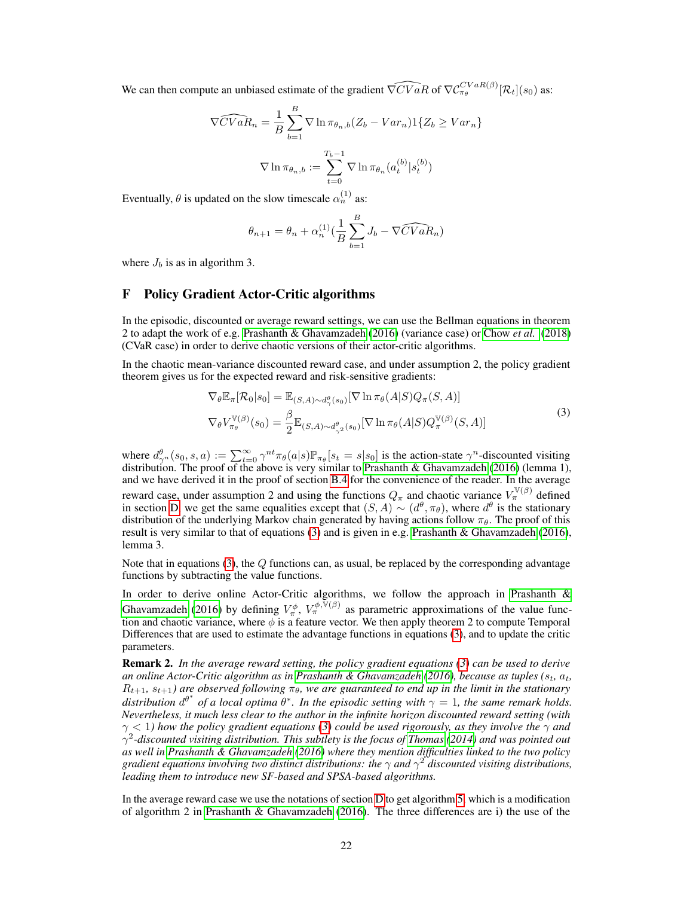We can then compute an unbiased estimate of the gradient  $\widehat{\nabla CVaR}$  of  $\nabla C_{\pi_{\theta}}^{CVaR(\beta)}[\mathcal{R}_t](s_0)$  as:

$$
\widehat{\nabla CVaR_n} = \frac{1}{B} \sum_{b=1}^{B} \nabla \ln \pi_{\theta_n, b} (Z_b - Var_n) \mathbb{1} \{ Z_b \ge Var_n \}
$$

$$
\nabla \ln \pi_{\theta_n, b} := \sum_{t=0}^{T_b - 1} \nabla \ln \pi_{\theta_n} (a_t^{(b)} | s_t^{(b)})
$$

Eventually,  $\theta$  is updated on the slow timescale  $\alpha_n^{(1)}$  as:

$$
\theta_{n+1} = \theta_n + \alpha_n^{(1)} \left( \frac{1}{B} \sum_{b=1}^B J_b - \nabla \widehat{CVaR_n} \right)
$$

where  $J_b$  is as in algorithm 3.

# F Policy Gradient Actor-Critic algorithms

In the episodic, discounted or average reward settings, we can use the Bellman equations in theorem 2 to adapt the work of e.g. [Prashanth & Ghavamzadeh](#page-11-3) [\(2016\)](#page-11-3) (variance case) or [Chow](#page-11-1) *et al.* [\(2018\)](#page-11-1) (CVaR case) in order to derive chaotic versions of their actor-critic algorithms.

In the chaotic mean-variance discounted reward case, and under assumption 2, the policy gradient theorem gives us for the expected reward and risk-sensitive gradients:

<span id="page-21-0"></span>
$$
\nabla_{\theta} \mathbb{E}_{\pi}[\mathcal{R}_{0}|s_{0}] = \mathbb{E}_{(S,A)\sim d_{\gamma}^{\theta}(s_{0})} [\nabla \ln \pi_{\theta}(A|S)Q_{\pi}(S,A)]
$$
  
\n
$$
\nabla_{\theta} V_{\pi_{\theta}}^{\mathbb{V}(\beta)}(s_{0}) = \frac{\beta}{2} \mathbb{E}_{(S,A)\sim d_{\gamma^{2}}^{\theta}(s_{0})} [\nabla \ln \pi_{\theta}(A|S)Q_{\pi}^{\mathbb{V}(\beta)}(S,A)]
$$
\n(3)

where  $d_{\gamma^n}^{\theta}(s_0, s, a) := \sum_{t=0}^{\infty} \gamma^{nt} \pi_{\theta}(a|s) \mathbb{P}_{\pi_{\theta}}[s_t = s|s_0]$  is the action-state  $\gamma^n$ -discounted visiting distribution. The proof of the above is very similar to [Prashanth & Ghavamzadeh](#page-11-3) [\(2016\)](#page-11-3) (lemma 1), and we have derived it in the proof of section [B.4](#page-15-0) for the convenience of the reader. In the average reward case, under assumption 2 and using the functions  $Q_{\pi}$  and chaotic variance  $V_{\pi}^{\mathbb{V}(\beta)}$  defined in section [D,](#page-18-1) we get the same equalities except that  $(S, A) \sim (d^{\theta}, \pi_{\theta})$ , where  $d^{\theta}$  is the stationary distribution of the underlying Markov chain generated by having actions follow  $\pi_{\theta}$ . The proof of this result is very similar to that of equations [\(3\)](#page-21-0) and is given in e.g. [Prashanth & Ghavamzadeh](#page-11-3) [\(2016\)](#page-11-3), lemma 3.

Note that in equations [\(3\)](#page-21-0), the  $Q$  functions can, as usual, be replaced by the corresponding advantage functions by subtracting the value functions.

In order to derive online Actor-Critic algorithms, we follow the approach in [Prashanth &](#page-11-3) [Ghavamzadeh](#page-11-3) [\(2016\)](#page-11-3) by defining  $V^{\phi}_{\pi}$ ,  $V^{\phi,\bar{V}(\beta)}_{\pi}$  as parametric approximations of the value function and chaotic variance, where  $\phi$  is a feature vector. We then apply theorem 2 to compute Temporal Differences that are used to estimate the advantage functions in equations [\(3\)](#page-21-0), and to update the critic parameters.

Remark 2. *In the average reward setting, the policy gradient equations [\(3\)](#page-21-0) can be used to derive an online Actor-Critic algorithm as in [Prashanth & Ghavamzadeh](#page-11-3) [\(2016\)](#page-11-3), because as tuples (*st*,* at*,*  $R_{t+1}, s_{t+1}$  are observed following  $\pi_{\theta}$ , we are guaranteed to end up in the limit in the stationary *distribution*  $d^{\theta^*}$  of a local optima  $\theta^*$ . In the episodic setting with  $\gamma = 1$ , the same remark holds. *Nevertheless, it much less clear to the author in the infinite horizon discounted reward setting (with*  $\gamma$  < 1) how the policy gradient equations [\(3\)](#page-21-0) could be used rigorously, as they involve the  $\gamma$  and γ 2 *-discounted visiting distribution. This subtlety is the focus of [Thomas](#page-12-6) [\(2014\)](#page-12-6) and was pointed out as well in [Prashanth & Ghavamzadeh](#page-11-3) [\(2016\)](#page-11-3) where they mention difficulties linked to the two policy gradient equations involving two distinct distributions: the*  $\gamma$  *and*  $\gamma^2$  *discounted visiting distributions, leading them to introduce new SF-based and SPSA-based algorithms.*

In the average reward case we use the notations of section [D](#page-18-1) to get algorithm [5,](#page-23-0) which is a modification of algorithm 2 in [Prashanth & Ghavamzadeh](#page-11-3) [\(2016\)](#page-11-3). The three differences are i) the use of the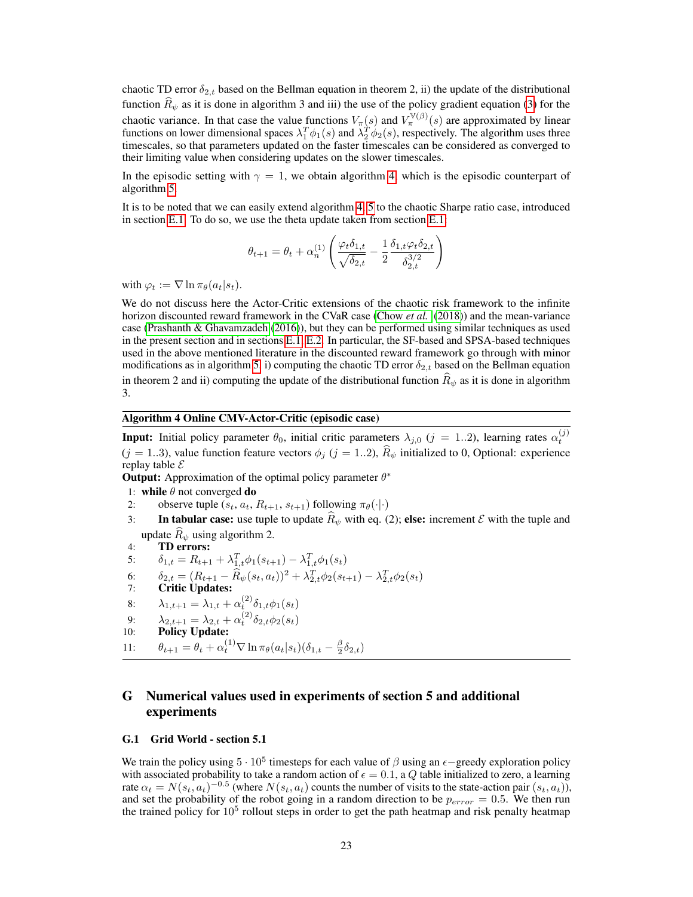chaotic TD error  $\delta_{2,t}$  based on the Bellman equation in theorem 2, ii) the update of the distributional function  $\hat{R}_{\psi}$  as it is done in algorithm 3 and iii) the use of the policy gradient equation [\(3\)](#page-21-0) for the chaotic variance. In that case the value functions  $V_\pi(s)$  and  $V_\pi^{\mathbb{V}(\beta)}(s)$  are approximated by linear functions on lower dimensional spaces  $\lambda_1^T \phi_1(s)$  and  $\lambda_2^T \phi_2(s)$ , respectively. The algorithm uses three timescales, so that parameters updated on the faster timescales can be considered as converged to their limiting value when considering updates on the slower timescales.

In the episodic setting with  $\gamma = 1$ , we obtain algorithm [4,](#page-22-0) which is the episodic counterpart of algorithm [5.](#page-23-0)

It is to be noted that we can easily extend algorithm [4,](#page-22-0) [5](#page-23-0) to the chaotic Sharpe ratio case, introduced in section [E.1.](#page-19-1) To do so, we use the theta update taken from section [E.1:](#page-19-1)

$$
\theta_{t+1} = \theta_t + \alpha_n^{(1)} \left( \frac{\varphi_t \delta_{1,t}}{\sqrt{\delta_{2,t}}} - \frac{1}{2} \frac{\delta_{1,t} \varphi_t \delta_{2,t}}{\delta_{2,t}^{3/2}} \right)
$$

with  $\varphi_t := \nabla \ln \pi_\theta(a_t|s_t)$ .

We do not discuss here the Actor-Critic extensions of the chaotic risk framework to the infinite horizon discounted reward framework in the CVaR case [\(Chow](#page-11-1) *et al.* [\(2018\)](#page-11-1)) and the mean-variance case [\(Prashanth & Ghavamzadeh](#page-11-3) [\(2016\)](#page-11-3)), but they can be performed using similar techniques as used in the present section and in sections [E.1,](#page-19-1) [E.2.](#page-20-0) In particular, the SF-based and SPSA-based techniques used in the above mentioned literature in the discounted reward framework go through with minor modifications as in algorithm [5,](#page-23-0) i) computing the chaotic TD error  $\delta_{2,t}$  based on the Bellman equation in theorem 2 and ii) computing the update of the distributional function  $R_{\psi}$  as it is done in algorithm 3.

### Algorithm 4 Online CMV-Actor-Critic (episodic case)

<span id="page-22-0"></span>**Input:** Initial policy parameter  $\theta_0$ , initial critic parameters  $\lambda_{j,0}$  ( $j = 1..2$ ), learning rates  $\alpha_t^{(j)}$  $(j = 1..3)$ , value function feature vectors  $\phi_j$   $(j = 1..2)$ ,  $\widehat{R}_{\psi}$  initialized to 0, Optional: experience replay table  $\mathcal E$ 

**Output:** Approximation of the optimal policy parameter  $\theta^*$ 

- 1: while  $\theta$  not converged do
- 2: observe tuple  $(s_t, a_t, R_{t+1}, s_{t+1})$  following  $\pi_\theta(\cdot | \cdot)$
- 3: In tabular case: use tuple to update  $\hat{R}_{\psi}$  with eq. (2); else: increment  $\mathcal E$  with the tuple and update  $\overline{R}_{\psi}$  using algorithm 2.<br>**TD errors:**
- 4: TD errors:
- 5:  $\delta_{1,t} = R_{t+1} + \lambda_{1,t}^T \phi_1(s_{t+1}) \lambda_{1,t}^T \phi_1(s_t)$
- 6:  $\delta_{2,t} = (R_{t+1} \widehat{R}_{\psi}(s_t, a_t))^2 + \lambda_{2,t}^T \phi_2(s_{t+1}) \lambda_{2,t}^T \phi_2(s_t)$
- 7: Critic Updates:
- 8:  $\lambda_{1,t+1} = \lambda_{1,t} + \alpha_t^{(2)} \delta_{1,t} \phi_1(s_t)$
- 9:  $\lambda_{2,t+1} = \lambda_{2,t} + \alpha_t^{(2)} \delta_{2,t} \phi_2(s_t)$
- 10: Policy Update:
- 11:  $\theta_{t+1} = \theta_t + \alpha_t^{(1)} \nabla \ln \pi_\theta (a_t | s_t) (\delta_{1,t} \frac{\beta}{2} \delta_{2,t})$

# G Numerical values used in experiments of section 5 and additional experiments

#### G.1 Grid World - section 5.1

We train the policy using  $5 \cdot 10^5$  timesteps for each value of  $\beta$  using an  $\epsilon$ -greedy exploration policy with associated probability to take a random action of  $\epsilon = 0.1$ , a Q table initialized to zero, a learning rate  $\alpha_t = N(s_t, a_t)^{-0.5}$  (where  $N(s_t, a_t)$  counts the number of visits to the state-action pair  $(s_t, a_t)$ ), and set the probability of the robot going in a random direction to be  $p_{error} = 0.5$ . We then run the trained policy for  $10^5$  rollout steps in order to get the path heatmap and risk penalty heatmap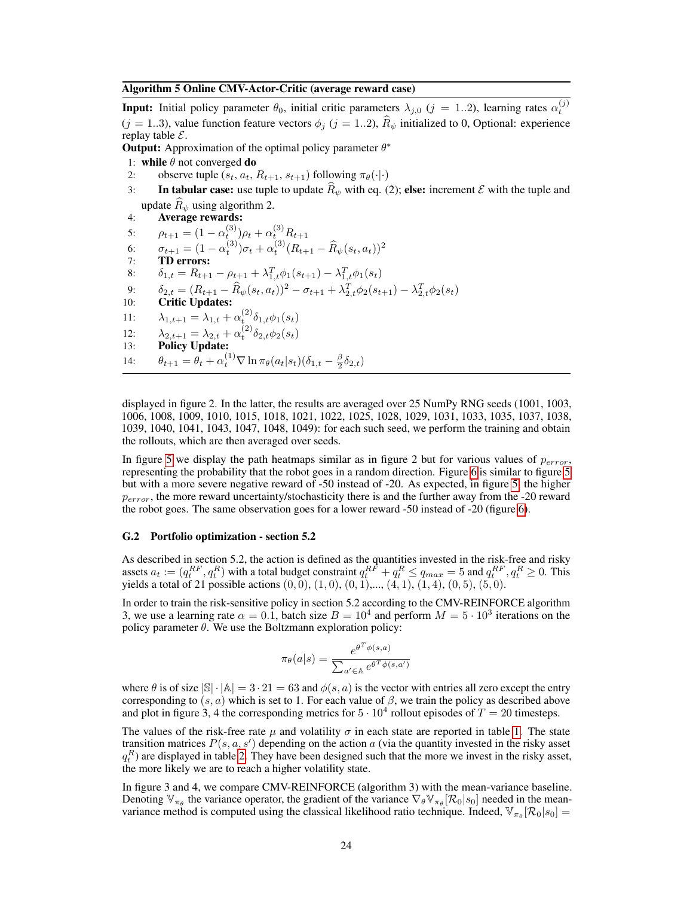#### Algorithm 5 Online CMV-Actor-Critic (average reward case)

<span id="page-23-0"></span>**Input:** Initial policy parameter  $\theta_0$ , initial critic parameters  $\lambda_{j,0}$  ( $j = 1..2$ ), learning rates  $\alpha_t^{(j)}$  $(j = 1..3)$ , value function feature vectors  $\phi_j$   $(j = 1..2)$ ,  $\widehat{R}_{\psi}$  initialized to 0, Optional: experience replay table  $\mathcal{E}$ .

**Output:** Approximation of the optimal policy parameter  $\theta^*$ 

- 1: while  $\theta$  not converged do
- 2: observe tuple  $(s_t, a_t, R_{t+1}, s_{t+1})$  following  $\pi_\theta(\cdot | \cdot)$
- 3: In tabular case: use tuple to update  $\hat{R}_{\psi}$  with eq. (2); else: increment  $\mathcal E$  with the tuple and update  $\hat{R}_{\psi}$  using algorithm 2.
- 4: Average rewards:

5:  $\rho_{t+1} = (1 - \alpha_t^{(3)}) \rho_t + \alpha_t^{(3)} R_{t+1}$ 

6: 
$$
\sigma_{t+1} = (1 - \alpha_t^{(3)}) \sigma_t + \alpha_t^{(3)} (R_{t+1} - \widehat{R}_{\psi}(s_t, a_t))^2
$$
  
7: **TD errors:**

8:  $\delta_{1,t} = R_{t+1} - \rho_{t+1} + \lambda_{1,t}^T \phi_1(s_{t+1}) - \lambda_{1,t}^T \phi_1(s_t)$ 

- 9:  $\delta_{2,t} = (R_{t+1} \widehat{R}_{\psi}(s_t, a_t))^2 \sigma_{t+1} + \lambda_{2,t}^T \phi_2(s_{t+1}) \lambda_{2,t}^T \phi_2(s_t)$
- 10: Critic Updates:

11: 
$$
\lambda_{1,t+1} = \lambda_{1,t} + \alpha_t^{(2)} \delta_{1,t} \phi_1(s_t)
$$

- 12:  $\lambda_{2,t+1} = \lambda_{2,t} + \alpha_t^{(2)} \delta_{2,t} \phi_2(s_t)$
- 13: Policy Update:
- 14:  $\theta_{t+1} = \theta_t + \alpha_t^{(1)} \nabla \ln \pi_\theta (a_t | s_t) (\delta_{1,t} \frac{\beta}{2} \delta_{2,t})$

displayed in figure 2. In the latter, the results are averaged over 25 NumPy RNG seeds (1001, 1003, 1006, 1008, 1009, 1010, 1015, 1018, 1021, 1022, 1025, 1028, 1029, 1031, 1033, 1035, 1037, 1038, 1039, 1040, 1041, 1043, 1047, 1048, 1049): for each such seed, we perform the training and obtain the rollouts, which are then averaged over seeds.

In figure [5](#page-24-0) we display the path heatmaps similar as in figure 2 but for various values of  $p_{error}$ , representing the probability that the robot goes in a random direction. Figure [6](#page-25-0) is similar to figure [5](#page-24-0) but with a more severe negative reward of -50 instead of -20. As expected, in figure [5,](#page-24-0) the higher  $p_{error}$ , the more reward uncertainty/stochasticity there is and the further away from the -20 reward the robot goes. The same observation goes for a lower reward -50 instead of -20 (figure [6\)](#page-25-0).

#### G.2 Portfolio optimization - section 5.2

As described in section 5.2, the action is defined as the quantities invested in the risk-free and risky assets  $a_t := (q_t^{RF}, q_t^R)$  with a total budget constraint  $q_t^{RF} + q_t^R \le q_{max} = 5$  and  $q_t^{RF}, q_t^R \ge 0$ . This yields a total of 21 possible actions  $(0, 0)$ ,  $(1, 0)$ ,  $(0, 1)$ ,...,  $(4, 1)$ ,  $(1, 4)$ ,  $(0, 5)$ ,  $(5, 0)$ .

In order to train the risk-sensitive policy in section 5.2 according to the CMV-REINFORCE algorithm 3, we use a learning rate  $\alpha = 0.1$ , batch size  $B = 10^4$  and perform  $M = 5 \cdot 10^3$  iterations on the policy parameter  $\theta$ . We use the Boltzmann exploration policy:

$$
\pi_{\theta}(a|s) = \frac{e^{\theta^T \phi(s,a)}}{\sum_{a' \in \mathbb{A}} e^{\theta^T \phi(s,a')}}
$$

where  $\theta$  is of size  $|\mathbb{S}| \cdot |\mathbb{A}| = 3 \cdot 21 = 63$  and  $\phi(s, a)$  is the vector with entries all zero except the entry corresponding to  $(s, a)$  which is set to 1. For each value of  $\beta$ , we train the policy as described above and plot in figure 3, 4 the corresponding metrics for  $5 \cdot 10^4$  rollout episodes of  $T = 20$  timesteps.

The values of the risk-free rate  $\mu$  and volatility  $\sigma$  in each state are reported in table [1.](#page-24-1) The state transition matrices  $P(s, a, s')$  depending on the action a (via the quantity invested in the risky asset  $q_t^R$ ) are displayed in table [2.](#page-25-1) They have been designed such that the more we invest in the risky asset, the more likely we are to reach a higher volatility state.

In figure 3 and 4, we compare CMV-REINFORCE (algorithm 3) with the mean-variance baseline. Denoting  $\mathbb{V}_{\pi_{\theta}}$  the variance operator, the gradient of the variance  $\nabla_{\theta} \mathbb{V}_{\pi_{\theta}}[\mathcal{R}_0|s_0]$  needed in the meanvariance method is computed using the classical likelihood ratio technique. Indeed,  $\mathbb{V}_{\pi_{\theta}}[\mathcal{R}_0|s_0] =$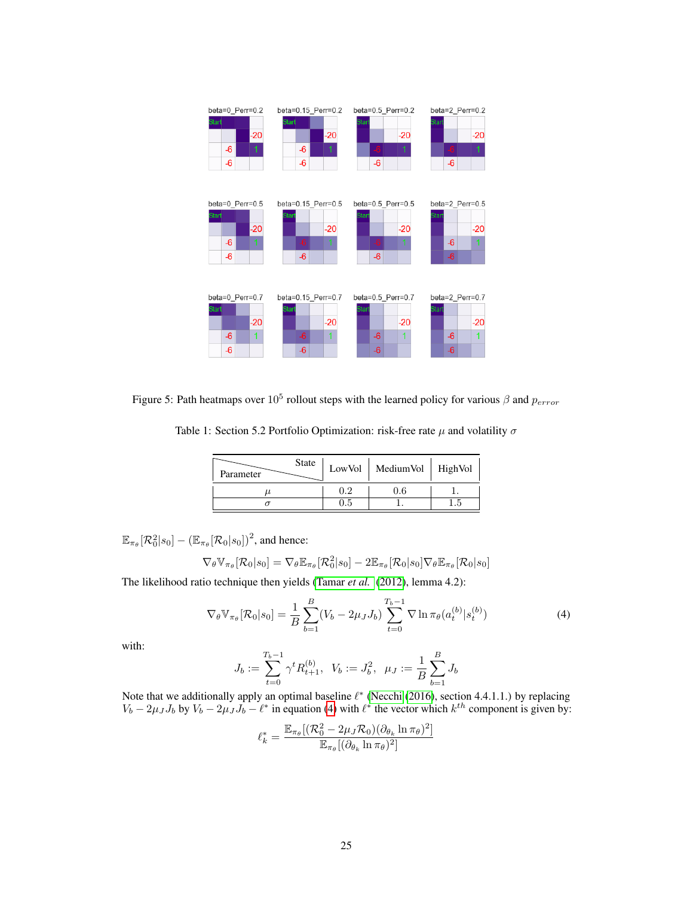

<span id="page-24-1"></span><span id="page-24-0"></span>Figure 5: Path heatmaps over  $10^5$  rollout steps with the learned policy for various  $\beta$  and  $p_{error}$ 

Table 1: Section 5.2 Portfolio Optimization: risk-free rate  $\mu$  and volatility  $\sigma$ 

| <b>State</b><br>Parameter |     | LowVol   MediumVol   HighVol |  |
|---------------------------|-----|------------------------------|--|
|                           | 02  |                              |  |
|                           | U.5 |                              |  |

 $\mathbb{E}_{\pi_{\theta}}[\mathcal{R}_0^2|s_0] - (\mathbb{E}_{\pi_{\theta}}[\mathcal{R}_0|s_0])^2,$  and hence:

$$
\nabla_{\theta} \mathbb{V}_{\pi_{\theta}}[\mathcal{R}_{0}|s_{0}] = \nabla_{\theta} \mathbb{E}_{\pi_{\theta}}[\mathcal{R}_{0}^{2}|s_{0}] - 2\mathbb{E}_{\pi_{\theta}}[\mathcal{R}_{0}|s_{0}] \nabla_{\theta} \mathbb{E}_{\pi_{\theta}}[\mathcal{R}_{0}|s_{0}]
$$

The likelihood ratio technique then yields [\(Tamar](#page-12-3) *et al.* [\(2012\)](#page-12-3), lemma 4.2):

$$
\nabla_{\theta} \mathbb{V}_{\pi_{\theta}}[\mathcal{R}_{0}|s_{0}] = \frac{1}{B} \sum_{b=1}^{B} (V_{b} - 2\mu_{J} J_{b}) \sum_{t=0}^{T_{b}-1} \nabla \ln \pi_{\theta}(a_{t}^{(b)}|s_{t}^{(b)})
$$
(4)

with:

<span id="page-24-2"></span>
$$
J_b:=\sum_{t=0}^{T_b-1}\gamma^tR^{(b)}_{t+1},\ \ V_b:=J_b^2,\ \ \mu_J:=\frac{1}{B}\sum_{b=1}^BJ_b
$$

Note that we additionally apply an optimal baseline  $\ell^*$  [\(Necchi](#page-11-23) [\(2016\)](#page-11-23), section 4.4.1.1.) by replacing  $V_b - 2\mu_J J_b$  by  $V_b - 2\mu_J J_b - \ell^*$  in equation [\(4\)](#page-24-2) with  $\ell^*$  the vector which  $k^{th}$  component is given by:

$$
\ell_k^* = \frac{\mathbb{E}_{\pi_{\theta}} [(\mathcal{R}_0^2 - 2\mu_J \mathcal{R}_0)(\partial_{\theta_k} \ln \pi_{\theta})^2]}{\mathbb{E}_{\pi_{\theta}} [(\partial_{\theta_k} \ln \pi_{\theta})^2]}
$$